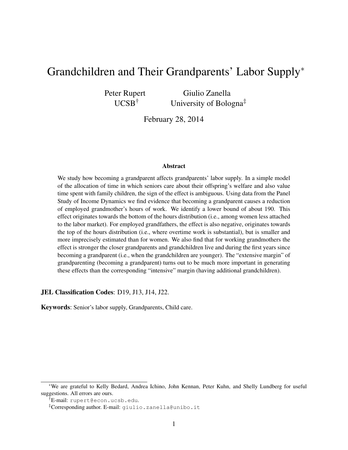# Grandchildren and Their Grandparents' Labor Supply<sup>∗</sup>

Peter Rupert UCSB† Giulio Zanella University of Bologna‡

February 28, 2014

#### Abstract

We study how becoming a grandparent affects grandparents' labor supply. In a simple model of the allocation of time in which seniors care about their offspring's welfare and also value time spent with family children, the sign of the effect is ambiguous. Using data from the Panel Study of Income Dynamics we find evidence that becoming a grandparent causes a reduction of employed grandmother's hours of work. We identify a lower bound of about 190. This effect originates towards the bottom of the hours distribution (i.e., among women less attached to the labor market). For employed grandfathers, the effect is also negative, originates towards the top of the hours distribution (i.e., where overtime work is substantial), but is smaller and more imprecisely estimated than for women. We also find that for working grandmothers the effect is stronger the closer grandparents and grandchildren live and during the first years since becoming a grandparent (i.e., when the grandchildren are younger). The "extensive margin" of grandparenting (becoming a grandparent) turns out to be much more important in generating these effects than the corresponding "intensive" margin (having additional grandchildren).

#### JEL Classification Codes: D19, J13, J14, J22.

Keywords: Senior's labor supply, Grandparents, Child care.

<sup>∗</sup>We are grateful to Kelly Bedard, Andrea Ichino, John Kennan, Peter Kuhn, and Shelly Lundberg for useful suggestions. All errors are ours.

<sup>†</sup>E-mail: rupert@econ.ucsb.edu.

<sup>‡</sup>Corresponding author. E-mail: giulio.zanella@unibo.it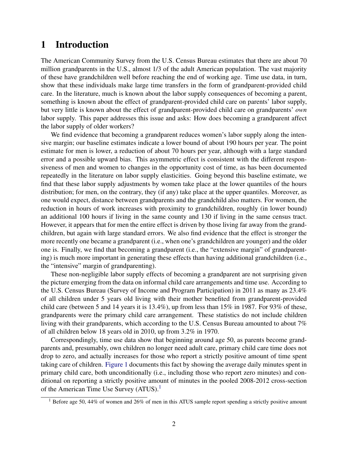## <span id="page-1-1"></span>1 Introduction

The American Community Survey from the U.S. Census Bureau estimates that there are about 70 million grandparents in the U.S., almost 1/3 of the adult American population. The vast majority of these have grandchildren well before reaching the end of working age. Time use data, in turn, show that these individuals make large time transfers in the form of grandparent-provided child care. In the literature, much is known about the labor supply consequences of becoming a parent, something is known about the effect of grandparent-provided child care on parents' labor supply, but very little is known about the effect of grandparent-provided child care on grandparents' *own* labor supply. This paper addresses this issue and asks: How does becoming a grandparent affect the labor supply of older workers?

We find evidence that becoming a grandparent reduces women's labor supply along the intensive margin; our baseline estimates indicate a lower bound of about 190 hours per year. The point estimate for men is lower, a reduction of about 70 hours per year, although with a large standard error and a possible upward bias. This asymmetric effect is consistent with the different responsiveness of men and women to changes in the opportunity cost of time, as has been documented repeatedly in the literature on labor supply elasticities. Going beyond this baseline estimate, we find that these labor supply adjustments by women take place at the lower quantiles of the hours distribution; for men, on the contrary, they (if any) take place at the upper quantiles. Moreover, as one would expect, distance between grandparents and the grandchild also matters. For women, the reduction in hours of work increases with proximity to grandchildren, roughly (in lower bound) an additional 100 hours if living in the same county and 130 if living in the same census tract. However, it appears that for men the entire effect is driven by those living far away from the grandchildren, but again with large standard errors. We also find evidence that the effect is stronger the more recently one became a grandparent (i.e., when one's grandchildren are younger) and the older one is. Finally, we find that becoming a grandparent (i.e., the "extensive margin" of grandparenting) is much more important in generating these effects than having additional grandchildren (i.e., the "intensive" margin of grandparenting).

These non-negligible labor supply effects of becoming a grandparent are not surprising given the picture emerging from the data on informal child care arrangements and time use. According to the U.S. Census Bureau (Survey of Income and Program Participation) in 2011 as many as 23.4% of all children under 5 years old living with their mother benefited from grandparent-provided child care (between 5 and 14 years it is 13.4%), up from less than  $15\%$  in 1987. For 93% of these, grandparents were the primary child care arrangement. These statistics do not include children living with their grandparents, which according to the U.S. Census Bureau amounted to about 7% of all children below 18 years old in 2010, up from 3.2% in 1970.

Correspondingly, time use data show that beginning around age 50, as parents become grandparents and, presumably, own children no longer need adult care, primary child care time does not drop to zero, and actually increases for those who report a strictly positive amount of time spent taking care of children. [Figure 1](#page-2-0) documents this fact by showing the average daily minutes spent in primary child care, both unconditionally (i.e., including those who report zero minutes) and conditional on reporting a strictly positive amount of minutes in the pooled 2008-2012 cross-section of the American Time Use Survey  $(ATUS)^{1}$  $(ATUS)^{1}$  $(ATUS)^{1}$ .

<span id="page-1-0"></span><sup>&</sup>lt;sup>1</sup> Before age 50, 44% of women and 26% of men in this ATUS sample report spending a strictly positive amount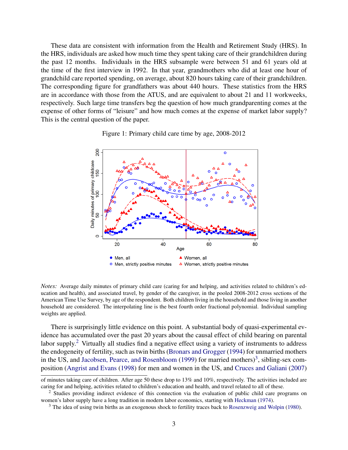These data are consistent with information from the Health and Retirement Study (HRS). In the HRS, individuals are asked how much time they spent taking care of their grandchildren during the past 12 months. Individuals in the HRS subsample were between 51 and 61 years old at the time of the first interview in 1992. In that year, grandmothers who did at least one hour of grandchild care reported spending, on average, about 820 hours taking care of their grandchildren. The corresponding figure for grandfathers was about 440 hours. These statistics from the HRS are in accordance with those from the ATUS, and are equivalent to about 21 and 11 workweeks, respectively. Such large time transfers beg the question of how much grandparenting comes at the expense of other forms of "leisure" and how much comes at the expense of market labor supply? This is the central question of the paper.



<span id="page-2-0"></span>

*Notes:* Average daily minutes of primary child care (caring for and helping, and activities related to children's education and health), and associated travel, by gender of the caregiver, in the pooled 2008-2012 cross sections of the American Time Use Survey, by age of the respondent. Both children living in the household and those living in another household are considered. The interpolating line is the best fourth order fractional polynomial. Individual sampling weights are applied.

There is surprisingly little evidence on this point. A substantial body of quasi-experimental evidence has accumulated over the past 20 years about the causal effect of child bearing on parental labor supply.<sup>[2](#page-2-1)</sup> Virtually all studies find a negative effect using a variety of instruments to address the endogeneity of fertility, such as twin births [\(Bronars and Grogger](#page-36-0) [\(1994\)](#page-36-0) for unmarried mothers in the US, and [Jacobsen, Pearce, and Rosenbloom](#page-37-0) [\(1999\)](#page-37-0) for married mothers)<sup>[3](#page-2-2)</sup>, sibling-sex composition [\(Angrist and Evans](#page-36-1) [\(1998\)](#page-36-1) for men and women in the US, and [Cruces and Galiani](#page-36-2) [\(2007\)](#page-36-2)

of minutes taking care of children. After age 50 these drop to 13% and 10%, respectively. The activities included are caring for and helping, activities related to children's education and health, and travel related to all of these.

<span id="page-2-1"></span><sup>&</sup>lt;sup>2</sup> Studies providing indirect evidence of this connection via the evaluation of public child care programs on women's labor supply have a long tradition in modern labor economics, starting with [Heckman](#page-37-1) [\(1974\)](#page-37-1).

<span id="page-2-2"></span><sup>&</sup>lt;sup>3</sup> The idea of using twin births as an exogenous shock to fertility traces back to [Rosenzweig and Wolpin](#page-37-2) [\(1980\)](#page-37-2).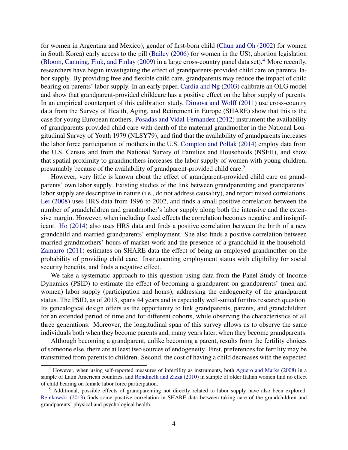for women in Argentina and Mexico), gender of first-born child [\(Chun and Oh](#page-36-3) [\(2002\)](#page-36-3) for women in South Korea) early access to the pill [\(Bailey](#page-36-4) [\(2006\)](#page-36-4) for women in the US), abortion legislation [\(Bloom, Canning, Fink, and Finlay](#page-36-5) [\(2009\)](#page-36-5) in a large cross-country panel data set).[4](#page-3-0) More recently, researchers have begun investigating the effect of grandparents-provided child care on parental labor supply. By providing free and flexible child care, grandparents may reduce the impact of child bearing on parents' labor supply. In an early paper, [Cardia and Ng](#page-36-6) [\(2003\)](#page-36-6) calibrate an OLG model and show that grandparent-provided childcare has a positive effect on the labor supply of parents. In an empirical counterpart of this calibration study, [Dimova and Wolff](#page-36-7) [\(2011\)](#page-36-7) use cross-country data from the Survey of Health, Aging, and Retirement in Europe (SHARE) show that this is the case for young European mothers. [Posadas and Vidal-Fernandez](#page-37-3) [\(2012\)](#page-37-3) instrument the availability of grandparents-provided child care with death of the maternal grandmother in the National Longitudinal Survey of Youth 1979 (NLSY79), and find that the availability of grandparents increases the labor force participation of mothers in the U.S. [Compton and Pollak](#page-36-8) [\(2014\)](#page-36-8) employ data from the U.S. Census and from the National Survey of Families and Households (NSFH), and show that spatial proximity to grandmothers increases the labor supply of women with young children, presumably because of the availability of grandparent-provided child care.<sup>[5](#page-3-1)</sup>

However, very little is known about the effect of grandparent-provided child care on grandparents' own labor supply. Existing studies of the link between grandparenting and grandparents' labor supply are descriptive in nature (i.e., do not address causality), and report mixed correlations. [Lei](#page-37-4) [\(2008\)](#page-37-4) uses HRS data from 1996 to 2002, and finds a small positive correlation between the number of grandchildren and grandmother's labor supply along both the intensive and the extensive margin. However, when including fixed effects the correlation becomes negative and insignificant. [Ho](#page-37-5) [\(2014\)](#page-37-5) also uses HRS data and finds a positive correlation between the birth of a new grandchild and married grandparents' employment. She also finds a positive correlation between married grandmothers' hours of market work and the presence of a grandchild in the household. [Zamarro](#page-37-6) [\(2011\)](#page-37-6) estimates on SHARE data the effect of being an employed grandmother on the probability of providing child care. Instrumenting employment status with eligibility for social security benefits, and finds a negative effect.

We take a systematic approach to this question using data from the Panel Study of Income Dynamics (PSID) to estimate the effect of becoming a grandparent on grandparents' (men and women) labor supply (participation and hours), addressing the endogeneity of the grandparent status. The PSID, as of 2013, spans 44 years and is especially well-suited for this research question. Its genealogical design offers us the opportunity to link grandparents, parents, and grandchildren for an extended period of time and for different cohorts, while observing the characteristics of all three generations. Moreover, the longitudinal span of this survey allows us to observe the same individuals both when they become parents and, many years later, when they become grandparents.

Although becoming a grandparent, unlike becoming a parent, results from the fertility choices of someone else, there are at least two sources of endogeneity. First, preferences for fertility may be transmitted from parents to children. Second, the cost of having a child decreases with the expected

<span id="page-3-0"></span><sup>4</sup> However, when using self-reported measures of infertility as instruments, both [Aguero and Marks](#page-36-9) [\(2008\)](#page-36-9) in a sample of Latin American countries, and [Rondinelli and Zizza](#page-37-7) [\(2010\)](#page-37-7) in sample of older Italian women find no effect of child bearing on female labor force participation.

<span id="page-3-1"></span><sup>5</sup> Additional, possible effects of grandparenting not directly related to labor supply have also been explored. [Reinkowski](#page-37-8) [\(2013\)](#page-37-8) finds some positive correlation in SHARE data between taking care of the grandchildren and grandparents' physical and psychological health.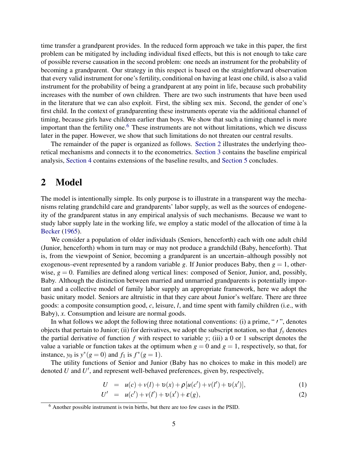time transfer a grandparent provides. In the reduced form approach we take in this paper, the first problem can be mitigated by including individual fixed effects, but this is not enough to take care of possible reverse causation in the second problem: one needs an instrument for the probability of becoming a grandparent. Our strategy in this respect is based on the straightforward observation that every valid instrument for one's fertility, conditional on having at least one child, is also a valid instrument for the probability of being a grandparent at any point in life, because such probability increases with the number of own children. There are two such instruments that have been used in the literature that we can also exploit. First, the sibling sex mix. Second, the gender of one's first child. In the context of grandparenting these instruments operate via the additional channel of timing, because girls have children earlier than boys. We show that such a timing channel is more important than the fertility one.<sup>[6](#page-4-0)</sup> These instruments are not without limitations, which we discuss later in the paper. However, we show that such limitations do not threaten our central results.

The remainder of the paper is organized as follows. [Section 2](#page-4-1) illustrates the underlying theoretical mechanisms and connects it to the econometrics. [Section 3](#page-7-0) contains the baseline empirical analysis, [Section 4](#page-24-0) contains extensions of the baseline results, and [Section 5](#page-35-0) concludes.

## <span id="page-4-1"></span>2 Model

The model is intentionally simple. Its only purpose is to illustrate in a transparent way the mechanisms relating grandchild care and grandparents' labor supply, as well as the sources of endogeneity of the grandparent status in any empirical analysis of such mechanisms. Because we want to study labor supply late in the working life, we employ a static model of the allocation of time à la [Becker](#page-36-10) [\(1965\)](#page-36-10).

We consider a population of older individuals (Seniors, henceforth) each with one adult child (Junior, henceforth) whom in turn may or may not produce a grandchild (Baby, henceforth). That is, from the viewpoint of Senior, becoming a grandparent is an uncertain–although possibly not exogenous–event represented by a random variable *g*. If Junior produces Baby, then  $g = 1$ , otherwise,  $g = 0$ . Families are defined along vertical lines: composed of Senior, Junior, and, possibly, Baby. Although the distinction between married and unmarried grandparents is potentially important and a collective model of family labor supply an appropriate framework, here we adopt the basic unitary model. Seniors are altruistic in that they care about Junior's welfare. There are three goods: a composite consumption good, *c*, leisure, *l*, and time spent with family children (i.e., with Baby), *x*. Consumption and leisure are normal goods.

In what follows we adopt the following three notational conventions: (i) a prime, " $\prime$ ", denotes objects that pertain to Junior; (ii) for derivatives, we adopt the subscript notation, so that  $f<sub>y</sub>$  denotes the partial derivative of function *f* with respect to variable *y*; (iii) a 0 or 1 subscript denotes the value a variable or function takes at the optimum when  $g = 0$  and  $g = 1$ , respectively, so that, for instance, *y*<sup>0</sup> is  $y^*(g = 0)$  and  $f_1$  is  $f^*(g = 1)$ .

The utility functions of Senior and Junior (Baby has no choices to make in this model) are denoted  $U$  and  $U'$ , and represent well-behaved preferences, given by, respectively,

$$
U = u(c) + v(l) + v(x) + \rho [u(c') + v(l') + v(x')], \qquad (1)
$$

$$
U' = u(c') + v(l') + v(x') + \varepsilon(g), \tag{2}
$$

<span id="page-4-0"></span><sup>6</sup> Another possible instrument is twin births, but there are too few cases in the PSID.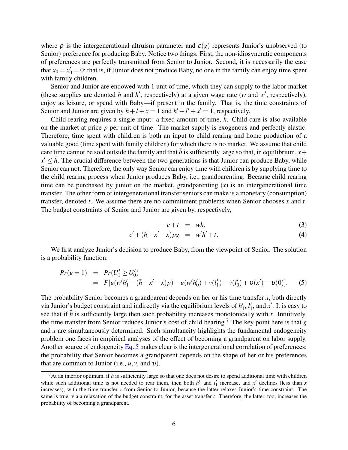where  $\rho$  is the intergenerational altruism parameter and  $\varepsilon(g)$  represents Junior's unobserved (to Senior) preference for producing Baby. Notice two things. First, the non-idiosyncratic components of preferences are perfectly transmitted from Senior to Junior. Second, it is necessarily the case that  $x_0 = x'_0 = 0$ ; that is, if Junior does not produce Baby, no one in the family can enjoy time spent with family children.

Senior and Junior are endowed with 1 unit of time, which they can supply to the labor market (these supplies are denoted *h* and *h*<sup> $\prime$ </sup>, respectively) at a given wage rate (*w* and *w*<sup> $\prime$ </sup>, respectively), enjoy as leisure, or spend with Baby—if present in the family. That is, the time constraints of Senior and Junior are given by  $h + l + x = 1$  and  $h' + l' + x' = 1$ , respectively.

Child rearing requires a single input: a fixed amount of time,  $\bar{h}$ . Child care is also available on the market at price *p* per unit of time. The market supply is exogenous and perfectly elastic. Therefore, time spent with children is both an input to child rearing and home production of a valuable good (time spent with family children) for which there is no market. We assume that child care time cannot be sold outside the family and that  $\bar{h}$  is sufficiently large so that, in equilibrium,  $x+$  $x' \leq \bar{h}$ . The crucial difference between the two generations is that Junior can produce Baby, while Senior can not. Therefore, the only way Senior can enjoy time with children is by supplying time to the child rearing process when Junior produces Baby, i.e., grandparenting. Because child rearing time can be purchased by junior on the market, grandparenting  $(x)$  is an intergenerational time transfer. The other form of intergenerational transfer seniors can make is a monetary (consumption) transfer, denoted *t*. We assume there are no commitment problems when Senior chooses *x* and *t*. The budget constraints of Senior and Junior are given by, respectively,

$$
c+t = wh,
$$
 (3)

$$
c' + (\bar{h} - x' - x)pg = w'h' + t.
$$
\n(4)

We first analyze Junior's decision to produce Baby, from the viewpoint of Senior. The solution is a probability function:

<span id="page-5-1"></span>
$$
Pr(g = 1) = Pr(U'_1 \ge U'_0)
$$
  
=  $F[u(w'h'_1 - (\bar{h} - x' - x)p) - u(w'h'_0) + v(l'_1) - v(l'_0) + v(x') - v(0)].$  (5)

The probability Senior becomes a grandparent depends on her or his time transfer *x*, both directly via Junior's budget constraint and indirectly via the equilibrium levels of  $h'_1$  $'_{1}, l'_{1}$  $\int_1$ , and  $x'$ . It is easy to see that if  $\bar{h}$  is sufficiently large then such probability increases monotonically with *x*. Intuitively, the time transfer from Senior reduces Junior's cost of child bearing.[7](#page-5-0) The key point here is that *g* and *x* are simultaneously determined. Such simultaneity highlights the fundamental endogeneity problem one faces in empirical analyses of the effect of becoming a grandparent on labor supply. Another source of endogeneity [Eq. 5](#page-5-1) makes clear is the intergenerational correlation of preferences: the probability that Senior becomes a grandparent depends on the shape of her or his preferences that are common to Junior (i.e.,  $u$ ,  $v$ , and  $v$ ).

<span id="page-5-0"></span> $^7$ At an interior optimum, if  $\bar{h}$  is sufficiently large so that one does not desire to spend additional time with children while such additional time is not needed to rear them, then both  $h'_1$  and  $l'_1$  increase, and  $x'$  declines (less than *x* increases), with the time transfer *x* from Senior to Junior, because the latter relaxes Junior's time constraint. The same is true, via a relaxation of the budget constraint, for the asset transfer *t*. Therefore, the latter, too, increases the probability of becoming a grandparent.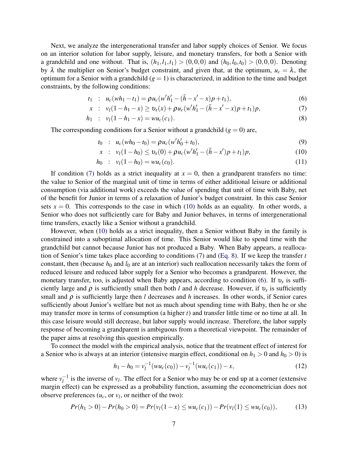Next, we analyze the intergenerational transfer and labor supply choices of Senior. We focus on an interior solution for labor supply, leisure, and monetary transfers, for both a Senior with a grandchild and one without. That is,  $(h_1, l_1, t_1) > (0, 0, 0)$  and  $(h_0, l_0, t_0) > (0, 0, 0)$ . Denoting by  $\lambda$  the multiplier on Senior's budget constraint, and given that, at the optimum,  $u_c = \lambda$ , the optimum for a Senior with a grandchild  $(g = 1)$  is characterized, in addition to the time and budget constraints, by the following conditions:

<span id="page-6-0"></span>
$$
t_1 : u_c(wh_1 - t_1) = \rho u_c(w'h'_1 - (\bar{h} - x' - x)p + t_1), \tag{6}
$$

$$
x : vl(1-h1-x) \ge vx(x) + \rho uc(w'h'1 - (\bar{h}-x'-x)p+t1)p,
$$
\n(7)

$$
h_1 : v_l(1 - h_1 - x) = w u_c(c_1).
$$
\n(8)

The corresponding conditions for a Senior without a grandchild  $(g = 0)$  are,

<span id="page-6-1"></span>
$$
t_0 : u_c(wh_0 - t_0) = \rho u_c(w'h'_0 + t_0), \qquad (9)
$$

$$
x : v_l(1-h_0) \le v_x(0) + \rho u_c(w'h'_1 - (\bar{h} - x')p + t_1)p, \qquad (10)
$$

$$
h_0 : v_l(1 - h_0) = w u_c(c_0).
$$
\n(11)

If condition [\(7\)](#page-6-0) holds as a strict inequality at  $x = 0$ , then a grandparent transfers no time: the value to Senior of the marginal unit of time in terms of either additional leisure or additional consumption (via additional work) exceeds the value of spending that unit of time with Baby, net of the benefit for Junior in terms of a relaxation of Junior's budget constraint. In this case Senior sets  $x = 0$ . This corresponds to the case in which [\(10\)](#page-6-1) holds as an equality. In other words, a Senior who does not sufficiently care for Baby and Junior behaves, in terms of intergenerational time transfers, exactly like a Senior without a grandchild.

However, when [\(10\)](#page-6-1) holds as a strict inequality, then a Senior without Baby in the family is constrained into a suboptimal allocation of time. This Senior would like to spend time with the grandchild but cannot because Junior has not produced a Baby. When Baby appears, a reallocation of Senior's time takes place according to conditions [\(7\)](#page-6-0) and [\(Eq. 8\)](#page-6-0). If we keep the transfer *t* constant, then (because  $h_0$  and  $l_0$  are at an interior) such reallocation necessarily takes the form of reduced leisure and reduced labor supply for a Senior who becomes a grandparent. However, the monetary transfer, too, is adjusted when Baby appears, according to condition [\(6\)](#page-6-0). If  $v_x$  is sufficiently large and  $\rho$  is sufficiently small then both *l* and *h* decrease. However, if  $v_x$  is sufficiently small and  $\rho$  is sufficiently large then *l* decreases and *h* increases. In other words, if Senior cares sufficiently about Junior's welfare but not as much about spending time with Baby, then he or she may transfer more in terms of consumption (a higher *t*) and transfer little time or no time at all. In this case leisure would still decrease, but labor supply would increase. Therefore, the labor supply response of becoming a grandparent is ambiguous from a theoretical viewpoint. The remainder of the paper aims at resolving this question empirically.

To connect the model with the empirical analysis, notice that the treatment effect of interest for a Senior who is always at an interior (intensive margin effect, conditional on  $h_1 > 0$  and  $h_0 > 0$ ) is

<span id="page-6-2"></span>
$$
h_1 - h_0 = v_l^{-1}(wu_c(c_0)) - v_l^{-1}(wu_c(c_1)) - x,
$$
\n(12)

where  $v_l^{-1}$  $l_l^{-1}$  is the inverse of  $v_l$ . The effect for a Senior who may be or end up at a corner (extensive margin effect) can be expressed as a probability function, assuming the econometrician does not observe preferences  $(u_c)$ , or  $v_l$ , or neither of the two):

<span id="page-6-3"></span>
$$
Pr(h_1 > 0) - Pr(h_0 > 0) = Pr(v_l(1 - x) \leq w u_c(c_1)) - Pr(v_l(1) \leq w u_c(c_0)),
$$
\n(13)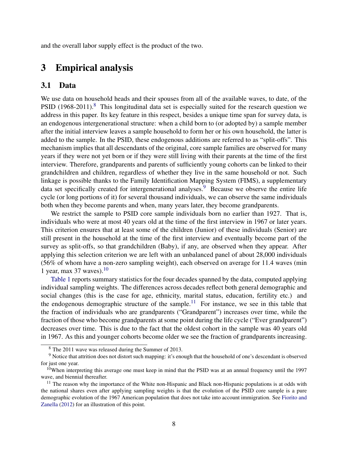and the overall labor supply effect is the product of the two.

## <span id="page-7-0"></span>3 Empirical analysis

### <span id="page-7-5"></span>3.1 Data

We use data on household heads and their spouses from all of the available waves, to date, of the PSID (196[8](#page-7-1)-2011).<sup>8</sup> This longitudinal data set is especially suited for the research question we address in this paper. Its key feature in this respect, besides a unique time span for survey data, is an endogenous intergenerational structure: when a child born to (or adopted by) a sample member after the initial interview leaves a sample household to form her or his own household, the latter is added to the sample. In the PSID, these endogenous additions are referred to as "split-offs". This mechanism implies that all descendants of the original, core sample families are observed for many years if they were not yet born or if they were still living with their parents at the time of the first interview. Therefore, grandparents and parents of sufficiently young cohorts can be linked to their grandchildren and children, regardless of whether they live in the same household or not. Such linkage is possible thanks to the Family Identification Mapping System (FIMS), a supplementary data set specifically created for intergenerational analyses.<sup>[9](#page-7-2)</sup> Because we observe the entire life cycle (or long portions of it) for several thousand individuals, we can observe the same individuals both when they become parents and when, many years later, they become grandparents.

We restrict the sample to PSID core sample individuals born no earlier than 1927. That is, individuals who were at most 40 years old at the time of the first interview in 1967 or later years. This criterion ensures that at least some of the children (Junior) of these individuals (Senior) are still present in the household at the time of the first interview and eventually become part of the survey as split-offs, so that grandchildren (Baby), if any, are observed when they appear. After applying this selection criterion we are left with an unbalanced panel of about 28,000 individuals (56% of whom have a non-zero sampling weight), each observed on average for 11.4 waves (min 1 year, max 37 waves). $10$ 

[Table 1](#page-8-0) reports summary statistics for the four decades spanned by the data, computed applying individual sampling weights. The differences across decades reflect both general demographic and social changes (this is the case for age, ethnicity, marital status, education, fertility etc.) and the endogenous demographic structure of the sample.<sup>[11](#page-7-4)</sup> For instance, we see in this table that the fraction of individuals who are grandparents ("Grandparent") increases over time, while the fraction of those who become grandparents at some point during the life cycle ("Ever grandparent") decreases over time. This is due to the fact that the oldest cohort in the sample was 40 years old in 1967. As this and younger cohorts become older we see the fraction of grandparents increasing.

<span id="page-7-2"></span><span id="page-7-1"></span><sup>8</sup> The 2011 wave was released during the Summer of 2013.

<sup>&</sup>lt;sup>9</sup> Notice that attrition does not distort such mapping: it's enough that the household of one's descendant is observed for just one year.

<span id="page-7-3"></span><sup>10</sup>When interpreting this average one must keep in mind that the PSID was at an annual frequency until the 1997 wave, and biennial thereafter.

<span id="page-7-4"></span> $11$  The reason why the importance of the White non-Hispanic and Black non-Hispanic populations is at odds with the national shares even after applying sampling weights is that the evolution of the PSID core sample is a pure demographic evolution of the 1967 American population that does not take into account immigration. See [Fiorito and](#page-36-11) [Zanella](#page-36-11) [\(2012\)](#page-36-11) for an illustration of this point.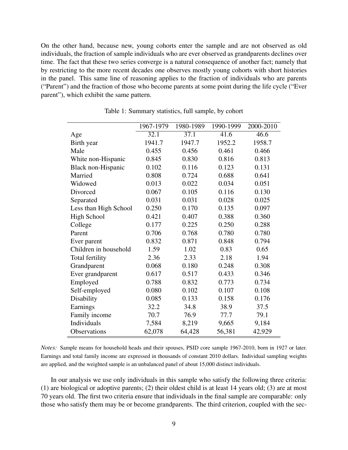On the other hand, because new, young cohorts enter the sample and are not observed as old individuals, the fraction of sample individuals who are ever observed as grandparents declines over time. The fact that these two series converge is a natural consequence of another fact; namely that by restricting to the more recent decades one observes mostly young cohorts with short histories in the panel. This same line of reasoning applies to the fraction of individuals who are parents ("Parent") and the fraction of those who become parents at some point during the life cycle ("Ever parent"), which exhibit the same pattern.

|                       | 1967-1979 | 1980-1989 | 1990-1999 | 2000-2010 |
|-----------------------|-----------|-----------|-----------|-----------|
| Age                   | 32.1      | 37.1      | 41.6      | 46.6      |
| Birth year            | 1941.7    | 1947.7    | 1952.2    | 1958.7    |
| Male                  | 0.455     | 0.456     | 0.461     | 0.466     |
| White non-Hispanic    | 0.845     | 0.830     | 0.816     | 0.813     |
| Black non-Hispanic    | 0.102     | 0.116     | 0.123     | 0.131     |
| Married               | 0.808     | 0.724     | 0.688     | 0.641     |
| Widowed               | 0.013     | 0.022     | 0.034     | 0.051     |
| Divorced              | 0.067     | 0.105     | 0.116     | 0.130     |
| Separated             | 0.031     | 0.031     | 0.028     | 0.025     |
| Less than High School | 0.250     | 0.170     | 0.135     | 0.097     |
| <b>High School</b>    | 0.421     | 0.407     | 0.388     | 0.360     |
| College               | 0.177     | 0.225     | 0.250     | 0.288     |
| Parent                | 0.706     | 0.768     | 0.780     | 0.780     |
| Ever parent           | 0.832     | 0.871     | 0.848     | 0.794     |
| Children in household | 1.59      | 1.02      | 0.83      | 0.65      |
| Total fertility       | 2.36      | 2.33      | 2.18      | 1.94      |
| Grandparent           | 0.068     | 0.180     | 0.248     | 0.308     |
| Ever grandparent      | 0.617     | 0.517     | 0.433     | 0.346     |
| Employed              | 0.788     | 0.832     | 0.773     | 0.734     |
| Self-employed         | 0.080     | 0.102     | 0.107     | 0.108     |
| Disability            | 0.085     | 0.133     | 0.158     | 0.176     |
| Earnings              | 32.2      | 34.8      | 38.9      | 37.5      |
| Family income         | 70.7      | 76.9      | 77.7      | 79.1      |
| Individuals           | 7,584     | 8,219     | 9,665     | 9,184     |
| Observations          | 62,078    | 64,428    | 56,381    | 42,929    |

<span id="page-8-0"></span>Table 1: Summary statistics, full sample, by cohort

*Notes:* Sample means for household heads and their spouses, PSID core sample 1967-2010, born in 1927 or later. Earnings and total family income are expressed in thousands of constant 2010 dollars. Individual sampling weights are applied, and the weighted sample is an unbalanced panel of about 15,000 distinct individuals.

In our analysis we use only individuals in this sample who satisfy the following three criteria: (1) are biological or adoptive parents; (2) their oldest child is at least 14 years old; (3) are at most 70 years old. The first two criteria ensure that individuals in the final sample are comparable: only those who satisfy them may be or become grandparents. The third criterion, coupled with the sec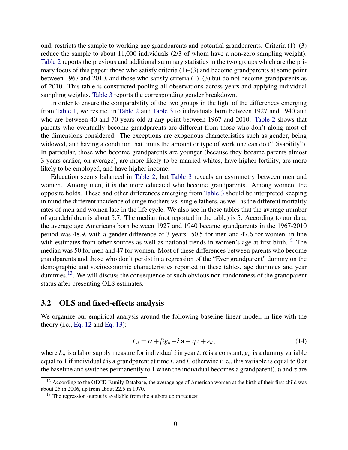ond, restricts the sample to working age grandparents and potential grandparents. Criteria (1)–(3) reduce the sample to about 11,000 individuals (2/3 of whom have a non-zero sampling weight). [Table 2](#page-10-0) reports the previous and additional summary statistics in the two groups which are the primary focus of this paper: those who satisfy criteria (1)–(3) and become grandparents at some point between 1967 and 2010, and those who satisfy criteria (1)–(3) but do not become grandparents as of 2010. This table is constructed pooling all observations across years and applying individual sampling weights. [Table 3](#page-11-0) reports the corresponding gender breakdown.

In order to ensure the comparability of the two groups in the light of the differences emerging from [Table 1,](#page-8-0) we restrict in [Table 2](#page-10-0) and [Table 3](#page-11-0) to individuals born between 1927 and 1940 and who are between 40 and 70 years old at any point between 1967 and 2010. [Table 2](#page-10-0) shows that parents who eventually become grandparents are different from those who don't along most of the dimensions considered. The exceptions are exogenous characteristics such as gender, being widowed, and having a condition that limits the amount or type of work one can do ("Disability"). In particular, those who become grandparents are younger (because they became parents almost 3 years earlier, on average), are more likely to be married whites, have higher fertility, are more likely to be employed, and have higher income.

Education seems balanced in [Table 2,](#page-10-0) but [Table 3](#page-11-0) reveals an asymmetry between men and women. Among men, it is the more educated who become grandparents. Among women, the opposite holds. These and other differences emerging from [Table 3](#page-11-0) should be interpreted keeping in mind the different incidence of singe mothers vs. single fathers, as well as the different mortality rates of men and women late in the life cycle. We also see in these tables that the average number of grandchildren is about 5.7. The median (not reported in the table) is 5. According to our data, the average age Americans born between 1927 and 1940 became grandparents in the 1967-2010 period was 48.9, with a gender difference of 3 years: 50.5 for men and 47.6 for women, in line with estimates from other sources as well as national trends in women's age at first birth.<sup>[12](#page-9-0)</sup> The median was 50 for men and 47 for women. Most of these differences between parents who become grandparents and those who don't persist in a regression of the "Ever grandparent" dummy on the demographic and socioeconomic characteristics reported in these tables, age dummies and year dummies.<sup>[13](#page-9-1)</sup>. We will discuss the consequence of such obvious non-randomness of the grandparent status after presenting OLS estimates.

### 3.2 OLS and fixed-effects analysis

We organize our empirical analysis around the following baseline linear model, in line with the theory (i.e., [Eq. 12](#page-6-2) and [Eq. 13\)](#page-6-3):

<span id="page-9-2"></span>
$$
L_{it} = \alpha + \beta g_{it} + \lambda \mathbf{a} + \eta \tau + \varepsilon_{it}, \qquad (14)
$$

where  $L_{it}$  is a labor supply measure for individual *i* in year *t*,  $\alpha$  is a constant,  $g_{it}$  is a dummy variable equal to 1 if individual *i* is a grandparent at time *t*, and 0 otherwise (i.e., this variable is equal to 0 at the baseline and switches permanently to 1 when the individual becomes a grandparent), **a** and  $\tau$  are

<span id="page-9-0"></span> $12$  According to the OECD Family Database, the average age of American women at the birth of their first child was about 25 in 2006, up from about 22.5 in 1970.

<span id="page-9-1"></span> $13$  The regression output is available from the authors upon request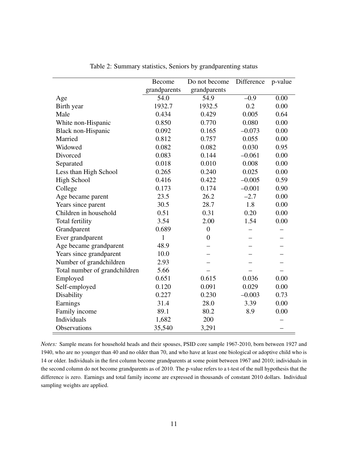|                               | Become       | Do not become     | Difference | p-value |
|-------------------------------|--------------|-------------------|------------|---------|
|                               | grandparents | grandparents      |            |         |
| Age                           | 54.0         | $\overline{54.9}$ | $-0.9$     | 0.00    |
| Birth year                    | 1932.7       | 1932.5            | 0.2        | 0.00    |
| Male                          | 0.434        | 0.429             | 0.005      | 0.64    |
| White non-Hispanic            | 0.850        | 0.770             | 0.080      | 0.00    |
| Black non-Hispanic            | 0.092        | 0.165             | $-0.073$   | 0.00    |
| Married                       | 0.812        | 0.757             | 0.055      | 0.00    |
| Widowed                       | 0.082        | 0.082             | 0.030      | 0.95    |
| Divorced                      | 0.083        | 0.144             | $-0.061$   | 0.00    |
| Separated                     | 0.018        | 0.010             | 0.008      | 0.00    |
| Less than High School         | 0.265        | 0.240             | 0.025      | 0.00    |
| <b>High School</b>            | 0.416        | 0.422             | $-0.005$   | 0.59    |
| College                       | 0.173        | 0.174             | $-0.001$   | 0.90    |
| Age became parent             | 23.5         | 26.2              | $-2.7$     | 0.00    |
| Years since parent            | 30.5         | 28.7              | 1.8        | 0.00    |
| Children in household         | 0.51         | 0.31              | 0.20       | 0.00    |
| Total fertility               | 3.54         | 2.00              | 1.54       | 0.00    |
| Grandparent                   | 0.689        | $\boldsymbol{0}$  |            |         |
| Ever grandparent              | 1            | $\boldsymbol{0}$  |            |         |
| Age became grandparent        | 48.9         |                   |            |         |
| Years since grandparent       | 10.0         |                   |            |         |
| Number of grandchildren       | 2.93         |                   |            |         |
| Total number of grandchildren | 5.66         |                   |            |         |
| Employed                      | 0.651        | 0.615             | 0.036      | 0.00    |
| Self-employed                 | 0.120        | 0.091             | 0.029      | 0.00    |
| Disability                    | 0.227        | 0.230             | $-0.003$   | 0.73    |
| Earnings                      | 31.4         | 28.0              | 3.39       | 0.00    |
| Family income                 | 89.1         | 80.2              | 8.9        | 0.00    |
| Individuals                   | 1,682        | 200               |            |         |
| Observations                  | 35,540       | 3,291             |            |         |

<span id="page-10-0"></span>Table 2: Summary statistics, Seniors by grandparenting status

*Notes:* Sample means for household heads and their spouses, PSID core sample 1967-2010, born between 1927 and 1940, who are no younger than 40 and no older than 70, and who have at least one biological or adoptive child who is 14 or older. Individuals in the first column become grandparents at some point between 1967 and 2010; individuals in the second column do not become grandparents as of 2010. The p-value refers to a t-test of the null hypothesis that the difference is zero. Earnings and total family income are expressed in thousands of constant 2010 dollars. Individual sampling weights are applied.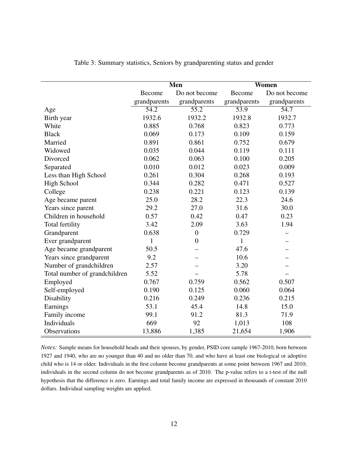|                               | Men               |                   | Women             |               |  |
|-------------------------------|-------------------|-------------------|-------------------|---------------|--|
|                               | Become            | Do not become     | Become            | Do not become |  |
|                               | grandparents      | grandparents      | grandparents      | grandparents  |  |
| Age                           | $\overline{54.2}$ | $\overline{55.2}$ | $\overline{53.9}$ | 54.7          |  |
| Birth year                    | 1932.6            | 1932.2            | 1932.8            | 1932.7        |  |
| White                         | 0.885             | 0.768             | 0.823             | 0.773         |  |
| <b>Black</b>                  | 0.069             | 0.173             | 0.109             | 0.159         |  |
| Married                       | 0.891             | 0.861             | 0.752             | 0.679         |  |
| Widowed                       | 0.035             | 0.044             | 0.119             | 0.111         |  |
| Divorced                      | 0.062             | 0.063             | 0.100             | 0.205         |  |
| Separated                     | 0.010             | 0.012             | 0.023             | 0.009         |  |
| Less than High School         | 0.261             | 0.304             | 0.268             | 0.193         |  |
| <b>High School</b>            | 0.344             | 0.282             | 0.471             | 0.527         |  |
| College                       | 0.238             | 0.221             | 0.123             | 0.139         |  |
| Age became parent             | 25.0              | 28.2              | 22.3              | 24.6          |  |
| Years since parent            | 29.2              | 27.0              | 31.6              | 30.0          |  |
| Children in household         | 0.57              | 0.42              | 0.47              | 0.23          |  |
| Total fertility               | 3.42              | 2.09              | 3.63              | 1.94          |  |
| Grandparent                   | 0.638             | $\boldsymbol{0}$  | 0.729             |               |  |
| Ever grandparent              | $\mathbf{1}$      | $\overline{0}$    | 1                 |               |  |
| Age became grandparent        | 50.5              |                   | 47.6              |               |  |
| Years since grandparent       | 9.2               |                   | 10.6              |               |  |
| Number of grandchildren       | 2.57              |                   | 3.20              |               |  |
| Total number of grandchildren | 5.52              |                   | 5.78              |               |  |
| Employed                      | 0.767             | 0.759             | 0.562             | 0.507         |  |
| Self-employed                 | 0.190             | 0.125             | 0.060             | 0.064         |  |
| Disability                    | 0.216             | 0.249             | 0.236             | 0.215         |  |
| Earnings                      | 53.1              | 45.4              | 14.8              | 15.0          |  |
| Family income                 | 99.1              | 91.2              | 81.3              | 71.9          |  |
| Individuals                   | 669               | 92                | 1,013             | 108           |  |
| Observations                  | 13,886            | 1,385             | 21,654            | 1,906         |  |

<span id="page-11-0"></span>Table 3: Summary statistics, Seniors by grandparenting status and gender

*Notes:* Sample means for household heads and their spouses, by gender, PSID core sample 1967-2010, born between 1927 and 1940, who are no younger than 40 and no older than 70, and who have at least one biological or adoptive child who is 14 or older. Individuals in the first column become grandparents at some point between 1967 and 2010; individuals in the second column do not become grandparents as of 2010. The p-value refers to a t-test of the null hypothesis that the difference is zero. Earnings and total family income are expressed in thousands of constant 2010 dollars. Individual sampling weights are applied.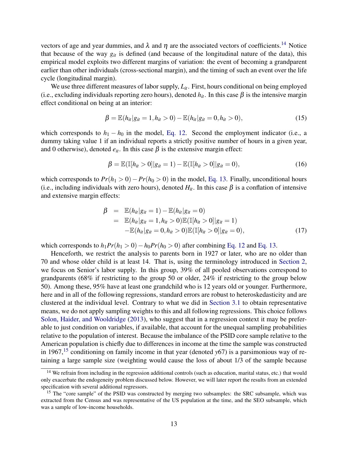vectors of age and year dummies, and  $\lambda$  and  $\eta$  are the associated vectors of coefficients.<sup>[14](#page-12-0)</sup> Notice that because of the way  $g_{it}$  is defined (and because of the longitudinal nature of the data), this empirical model exploits two different margins of variation: the event of becoming a grandparent earlier than other individuals (cross-sectional margin), and the timing of such an event over the life cycle (longitudinal margin).

We use three different measures of labor supply,  $L_{it}$ . First, hours conditional on being employed (i.e., excluding individuals reporting zero hours), denoted  $h_{it}$ . In this case  $\beta$  is the intensive margin effect conditional on being at an interior:

$$
\beta = \mathbb{E}(h_{it}|g_{it}=1, h_{it}>0) - \mathbb{E}(h_{it}|g_{it}=0, h_{it}>0),
$$
\n(15)

which corresponds to  $h_1 - h_0$  in the model, [Eq. 12.](#page-6-2) Second the employment indicator (i.e., a dummy taking value 1 if an individual reports a strictly positive number of hours in a given year, and 0 otherwise), denoted  $e_{it}$ . In this case  $\beta$  is the extensive margin effect:

$$
\beta = \mathbb{E}(\mathbb{I}[h_{it} > 0]|g_{it} = 1) - \mathbb{E}(\mathbb{I}[h_{it} > 0]|g_{it} = 0),
$$
\n(16)

which corresponds to  $Pr(h_1 > 0) - Pr(h_0 > 0)$  in the model, [Eq. 13.](#page-6-3) Finally, unconditional hours (i.e., including individuals with zero hours), denoted  $H_{it}$ . In this case  $\beta$  is a conflation of intensive and extensive margin effects:

$$
\beta = \mathbb{E}(h_{it}|g_{it}=1) - \mathbb{E}(h_{it}|g_{it}=0) \n= \mathbb{E}(h_{it}|g_{it}=1,h_{it}>0)\mathbb{E}(\mathbb{I}[h_{it}>0]|g_{it}=1) \n- \mathbb{E}(h_{it}|g_{it}=0,h_{it}>0)\mathbb{E}(\mathbb{I}[h_{it}>0]|g_{it}=0),
$$
\n(17)

which corresponds to  $h_1 Pr(h_1 > 0) - h_0 Pr(h_0 > 0)$  after combining [Eq. 12](#page-6-2) and [Eq. 13.](#page-6-3)

Henceforth, we restrict the analysis to parents born in 1927 or later, who are no older than 70 and whose older child is at least 14. That is, using the terminology introduced in [Section 2,](#page-4-1) we focus on Senior's labor supply. In this group, 39% of all pooled observations correspond to grandparents (68% if restricting to the group 50 or older, 24% if restricting to the group below 50). Among these, 95% have at least one grandchild who is 12 years old or younger. Furthermore, here and in all of the following regressions, standard errors are robust to heteroskedasticity and are clustered at the individual level. Contrary to what we did in [Section 3.1](#page-7-5) to obtain representative means, we do not apply sampling weights to this and all following regressions. This choice follows [Solon, Haider, and Wooldridge](#page-37-9) [\(2013\)](#page-37-9), who suggest that in a regression context it may be preferable to just condition on variables, if available, that account for the unequal sampling probabilities relative to the population of interest. Because the imbalance of the PSID core sample relative to the American population is chiefly due to differences in income at the time the sample was constructed in 1967,<sup>[15](#page-12-1)</sup> conditioning on family income in that year (denoted  $y$ 67) is a parsimonious way of retaining a large sample size (weighting would cause the loss of about 1/3 of the sample because

<span id="page-12-0"></span> $14$  We refrain from including in the regression additional controls (such as education, marital status, etc.) that would only exacerbate the endogeneity problem discussed below. However, we will later report the results from an extended specification with several additional regressors.

<span id="page-12-1"></span><sup>&</sup>lt;sup>15</sup> The "core sample" of the PSID was constructed by merging two subsamples: the SRC subsample, which was extracted from the Census and was representative of the US population at the time, and the SEO subsample, which was a sample of low-income households.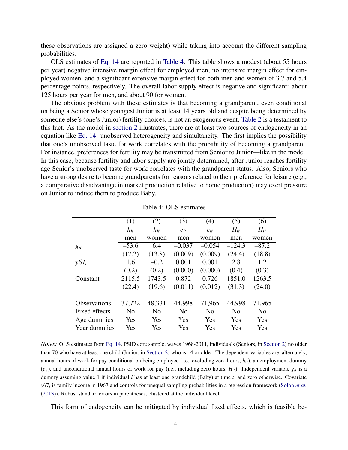these observations are assigned a zero weight) while taking into account the different sampling probabilities.

OLS estimates of [Eq. 14](#page-9-2) are reported in [Table 4.](#page-13-0) This table shows a modest (about 55 hours per year) negative intensive margin effect for employed men, no intensive margin effect for employed women, and a significant extensive margin effect for both men and women of 3.7 and 5.4 percentage points, respectively. The overall labor supply effect is negative and significant: about 125 hours per year for men, and about 90 for women.

The obvious problem with these estimates is that becoming a grandparent, even conditional on being a Senior whose youngest Junior is at least 14 years old and despite being determined by someone else's (one's Junior) fertility choices, is not an exogenous event. [Table 2](#page-10-0) is a testament to this fact. As the model in [section 2](#page-4-1) illustrates, there are at least two sources of endogeneity in an equation like [Eq. 14:](#page-9-2) unobserved heterogeneity and simultaneity. The first implies the possibility that one's unobserved taste for work correlates with the probability of becoming a grandparent. For instance, preferences for fertility may be transmitted from Senior to Junior—like in the model. In this case, because fertility and labor supply are jointly determined, after Junior reaches fertility age Senior's unobserved taste for work correlates with the grandparent status. Also, Seniors who have a strong desire to become grandparents for reasons related to their preference for leisure (e.g., a comparative disadvantage in market production relative to home production) may exert pressure on Junior to induce them to produce Baby.

|                 | (1)            | (2)            | (3)            | (4)            | (5)            | (6)            |
|-----------------|----------------|----------------|----------------|----------------|----------------|----------------|
|                 | $h_{it}$       | $h_{it}$       | $e_{it}$       | $e_{it}$       | $H_{it}$       | $H_{it}$       |
|                 | men            | women          | men            | women          | men            | women          |
| g <sub>it</sub> | $-53.6$        | 6.4            | $-0.037$       | $-0.054$       | $-124.3$       | $-87.2$        |
|                 | (17.2)         | (13.8)         | (0.009)        | (0.009)        | (24.4)         | (18.8)         |
| $y67_i$         | 1.6            | $-0.2$         | 0.001          | 0.001          | 2.8            | 1.2            |
|                 | (0.2)          | (0.2)          | (0.000)        | (0.000)        | (0.4)          | (0.3)          |
| Constant        | 2115.5         | 1743.5         | 0.872          | 0.726          | 1851.0         | 1263.5         |
|                 | (22.4)         | (19.6)         | (0.011)        | (0.012)        | (31.3)         | (24.0)         |
|                 |                |                |                |                |                |                |
| Observations    | 37,722         | 48,331         | 44,998         | 71,965         | 44,998         | 71,965         |
| Fixed effects   | N <sub>0</sub> | N <sub>0</sub> | N <sub>0</sub> | N <sub>0</sub> | N <sub>0</sub> | N <sub>0</sub> |
| Age dummies     | Yes            | Yes            | Yes            | Yes            | Yes            | Yes            |
| Year dummies    | Yes            | Yes            | Yes            | <b>Yes</b>     | Yes            | Yes            |

<span id="page-13-0"></span>

*Notes:* OLS estimates from [Eq. 14,](#page-9-2) PSID core sample, waves 1968-2011, individuals (Seniors, in [Section 2\)](#page-4-1) no older than 70 who have at least one child (Junior, in [Section 2\)](#page-4-1) who is 14 or older. The dependent variables are, alternately, annual hours of work for pay conditional on being employed (i.e., excluding zero hours,  $h_{it}$ ), an employment dummy  $(e_{it})$ , and unconditional annual hours of work for pay (i.e., including zero hours,  $H_{it}$ ). Independent variable  $g_{it}$  is a dummy assuming value 1 if individual *i* has at least one grandchild (Baby) at time *t*, and zero otherwise. Covariate *y*67*<sup>i</sup>* is family income in 1967 and controls for unequal sampling probabilities in a regression framework [\(Solon](#page-37-9) *et al.* [\(2013\)](#page-37-9)). Robust standard errors in parentheses, clustered at the individual level.

This form of endogeneity can be mitigated by individual fixed effects, which is feasible be-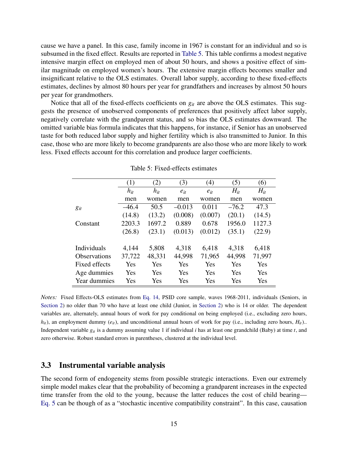cause we have a panel. In this case, family income in 1967 is constant for an individual and so is subsumed in the fixed effect. Results are reported in [Table 5.](#page-14-0) This table confirms a modest negative intensive margin effect on employed men of about 50 hours, and shows a positive effect of similar magnitude on employed women's hours. The extensive margin effects becomes smaller and insignificant relative to the OLS estimates. Overall labor supply, according to these fixed-effects estimates, declines by almost 80 hours per year for grandfathers and increases by almost 50 hours per year for grandmothers.

Notice that all of the fixed-effects coefficients on  $g_{it}$  are above the OLS estimates. This suggests the presence of unobserved components of preferences that positively affect labor supply, negatively correlate with the grandparent status, and so bias the OLS estimates downward. The omitted variable bias formula indicates that this happens, for instance, if Senior has an unobserved taste for both reduced labor supply and higher fertility which is also transmitted to Junior. In this case, those who are more likely to become grandparents are also those who are more likely to work less. Fixed effects account for this correlation and produce larger coefficients.

|                      | (1)      | (2)      | (3)      | (4)      | (5)      | (6)      |
|----------------------|----------|----------|----------|----------|----------|----------|
|                      | $h_{it}$ | $h_{it}$ | $e_{it}$ | $e_{it}$ | $H_{it}$ | $H_{it}$ |
|                      | men      | women    | men      | women    | men      | women    |
| $g_{it}$             | $-46.4$  | 50.5     | $-0.013$ | 0.011    | $-76.2$  | 47.3     |
|                      | (14.8)   | (13.2)   | (0.008)  | (0.007)  | (20.1)   | (14.5)   |
| Constant             | 2203.3   | 1697.2   | 0.889    | 0.678    | 1956.0   | 1127.3   |
|                      | (26.8)   | (23.1)   | (0.013)  | (0.012)  | (35.1)   | (22.9)   |
| Individuals          | 4,144    | 5,808    | 4,318    | 6,418    | 4,318    | 6,418    |
| <b>Observations</b>  | 37,722   | 48,331   | 44,998   | 71,965   | 44,998   | 71,997   |
| <b>Fixed effects</b> | Yes      | Yes      | Yes      | Yes      | Yes      | Yes      |
| Age dummies          | Yes      | Yes      | Yes      | Yes      | Yes      | Yes      |
| Year dummies         | Yes      | Yes      | Yes      | Yes      | Yes      | Yes      |

<span id="page-14-0"></span>Table 5: Fixed-effects estimates

*Notes:* Fixed Effects-OLS estimates from [Eq. 14,](#page-9-2) PSID core sample, waves 1968-2011, individuals (Seniors, in [Section 2\)](#page-4-1) no older than 70 who have at least one child (Junior, in [Section 2\)](#page-4-1) who is 14 or older. The dependent variables are, alternately, annual hours of work for pay conditional on being employed (i.e., excluding zero hours,  $h_{it}$ ), an employment dummy ( $e_{it}$ ), and unconditional annual hours of work for pay (i.e., including zero hours,  $H_{it}$ ).. Independent variable  $g_{it}$  is a dummy assuming value 1 if individual *i* has at least one grandchild (Baby) at time *t*, and zero otherwise. Robust standard errors in parentheses, clustered at the individual level.

### 3.3 Instrumental variable analysis

The second form of endogeneity stems from possible strategic interactions. Even our extremely simple model makes clear that the probability of becoming a grandparent increases in the expected time transfer from the old to the young, because the latter reduces the cost of child bearing— [Eq. 5](#page-5-1) can be though of as a "stochastic incentive compatibility constraint". In this case, causation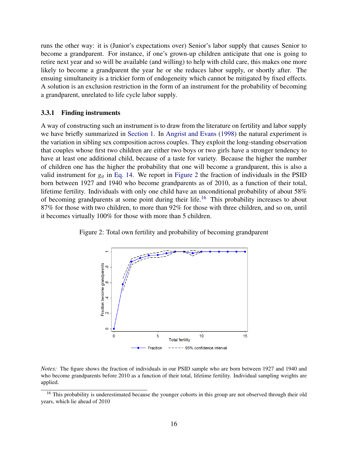runs the other way: it is (Junior's expectations over) Senior's labor supply that causes Senior to become a grandparent. For instance, if one's grown-up children anticipate that one is going to retire next year and so will be available (and willing) to help with child care, this makes one more likely to become a grandparent the year he or she reduces labor supply, or shortly after. The ensuing simultaneity is a trickier form of endogeneity which cannot be mitigated by fixed effects. A solution is an exclusion restriction in the form of an instrument for the probability of becoming a grandparent, unrelated to life cycle labor supply.

#### 3.3.1 Finding instruments

A way of constructing such an instrument is to draw from the literature on fertility and labor supply we have briefly summarized in [Section 1.](#page-1-1) In [Angrist and Evans](#page-36-1) [\(1998\)](#page-36-1) the natural experiment is the variation in sibling sex composition across couples. They exploit the long-standing observation that couples whose first two children are either two boys or two girls have a stronger tendency to have at least one additional child, because of a taste for variety. Because the higher the number of children one has the higher the probability that one will become a grandparent, this is also a valid instrument for  $g_{it}$  in [Eq. 14.](#page-9-2) We report in [Figure 2](#page-15-0) the fraction of individuals in the PSID born between 1927 and 1940 who become grandparents as of 2010, as a function of their total, lifetime fertility. Individuals with only one child have an unconditional probability of about 58% of becoming grandparents at some point during their life.<sup>[16](#page-15-1)</sup> This probability increases to about 87% for those with two children, to more than 92% for those with three children, and so on, until it becomes virtually 100% for those with more than 5 children.

<span id="page-15-0"></span>

Figure 2: Total own fertility and probability of becoming grandparent

*Notes:* The figure shows the fraction of individuals in our PSID sample who are born between 1927 and 1940 and who become grandparents before 2010 as a function of their total, lifetime fertility. Individual sampling weights are applied.

<span id="page-15-1"></span><sup>&</sup>lt;sup>16</sup> This probability is underestimated because the younger cohorts in this group are not observed through their old years, which lie ahead of 2010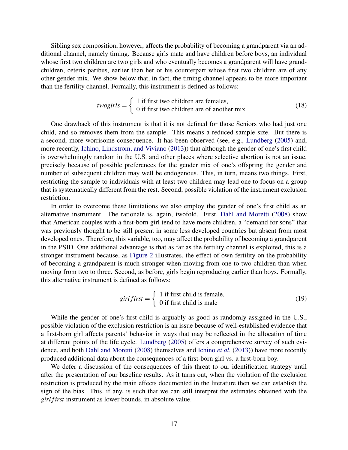Sibling sex composition, however, affects the probability of becoming a grandparent via an additional channel, namely timing. Because girls mate and have children before boys, an individual whose first two children are two girls and who eventually becomes a grandparent will have grandchildren, ceteris paribus, earlier than her or his counterpart whose first two children are of any other gender mix. We show below that, in fact, the timing channel appears to be more important than the fertility channel. Formally, this instrument is defined as follows:

<span id="page-16-0"></span>*twogirls* = 
$$
\begin{cases} 1 \text{ if first two children are females,} \\ 0 \text{ if first two children are of another mix.} \end{cases}
$$
 (18)

One drawback of this instrument is that it is not defined for those Seniors who had just one child, and so removes them from the sample. This means a reduced sample size. But there is a second, more worrisome consequence. It has been observed (see, e.g., [Lundberg](#page-37-10) [\(2005\)](#page-37-10) and, more recently, [Ichino, Lindstrom, and Viviano](#page-37-11) [\(2013\)](#page-37-11)) that although the gender of one's first child is overwhelmingly random in the U.S. and other places where selective abortion is not an issue, precisely because of possible preferences for the gender mix of one's offspring the gender and number of subsequent children may well be endogenous. This, in turn, means two things. First, restricting the sample to individuals with at least two children may lead one to focus on a group that is systematically different from the rest. Second, possible violation of the instrument exclusion restriction.

In order to overcome these limitations we also employ the gender of one's first child as an alternative instrument. The rationale is, again, twofold. First, [Dahl and Moretti](#page-36-12) [\(2008\)](#page-36-12) show that American couples with a first-born girl tend to have more children, a "demand for sons" that was previously thought to be still present in some less developed countries but absent from most developed ones. Therefore, this variable, too, may affect the probability of becoming a grandparent in the PSID. One additional advantage is that as far as the fertility channel is exploited, this is a stronger instrument because, as [Figure 2](#page-15-0) illustrates, the effect of own fertility on the probability of becoming a grandparent is much stronger when moving from one to two children than when moving from two to three. Second, as before, girls begin reproducing earlier than boys. Formally, this alternative instrument is defined as follows:

<span id="page-16-1"></span>
$$
girlfirst = \begin{cases} 1 \text{ if first child is female,} \\ 0 \text{ if first child is male} \end{cases}
$$
 (19)

While the gender of one's first child is arguably as good as randomly assigned in the U.S., possible violation of the exclusion restriction is an issue because of well-established evidence that a first-born girl affects parents' behavior in ways that may be reflected in the allocation of time at different points of the life cycle. [Lundberg](#page-37-10) [\(2005\)](#page-37-10) offers a comprehensive survey of such evidence, and both [Dahl and Moretti](#page-36-12) [\(2008\)](#page-36-12) themselves and [Ichino](#page-37-11) *et al.* [\(2013\)](#page-37-11)) have more recently produced additional data about the consequences of a first-born girl vs. a first-born boy.

We defer a discussion of the consequences of this threat to our identification strategy until after the presentation of our baseline results. As it turns out, when the violation of the exclusion restriction is produced by the main effects documented in the literature then we can establish the sign of the bias. This, if any, is such that we can still interpret the estimates obtained with the *girl first* instrument as lower bounds, in absolute value.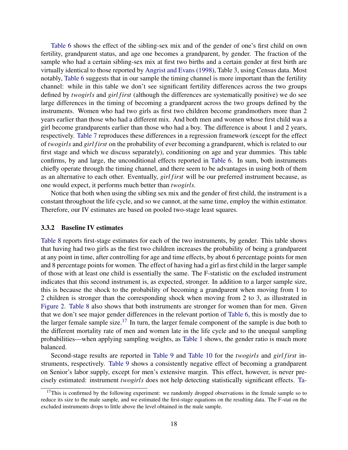[Table 6](#page-18-0) shows the effect of the sibling-sex mix and of the gender of one's first child on own fertility, grandparent status, and age one becomes a grandparent, by gender. The fraction of the sample who had a certain sibling-sex mix at first two births and a certain gender at first birth are virtually identical to those reported by [Angrist and Evans](#page-36-1) [\(1998\)](#page-36-1), Table 3, using Census data. Most notably, [Table 6](#page-18-0) suggests that in our sample the timing channel is more important than the fertility channel: while in this table we don't see significant fertility differences across the two groups defined by *twogirls* and *girl first* (although the differences are systematically positive) we do see large differences in the timing of becoming a grandparent across the two groups defined by the instruments. Women who had two girls as first two children become grandmothers more than 2 years earlier than those who had a different mix. And both men and women whose first child was a girl become grandparents earlier than those who had a boy. The difference is about 1 and 2 years, respectively. [Table 7](#page-19-0) reproduces these differences in a regression framework (except for the effect of *twogirls* and *girl first* on the probability of ever becoming a grandparent, which is related to our first stage and which we discuss separately), conditioning on age and year dummies. This table confirms, by and large, the unconditional effects reported in [Table 6.](#page-18-0) In sum, both instruments chiefly operate through the timing channel, and there seem to be advantages in using both of them as an alternative to each other. Eventually, *girl first* will be our preferred instrument because, as one would expect, it performs much better than *twogirls*.

Notice that both when using the sibling sex mix and the gender of first child, the instrument is a constant throughout the life cycle, and so we cannot, at the same time, employ the within estimator. Therefore, our IV estimates are based on pooled two-stage least squares.

#### <span id="page-17-1"></span>3.3.2 Baseline IV estimates

[Table 8](#page-19-1) reports first-stage estimates for each of the two instruments, by gender. This table shows that having had two girls as the first two children increases the probability of being a grandparent at any point in time, after controlling for age and time effects, by about 6 percentage points for men and 8 percentage points for women. The effect of having had a girl as first child in the larger sample of those with at least one child is essentially the same. The F-statistic on the excluded instrument indicates that this second instrument is, as expected, stronger. In addition to a larger sample size, this is because the shock to the probability of becoming a grandparent when moving from 1 to 2 children is stronger than the corresponding shock when moving from 2 to 3, as illustrated in [Figure 2.](#page-15-0) [Table 8](#page-19-1) also shows that both instruments are stronger for women than for men. Given that we don't see major gender differences in the relevant portion of [Table 6,](#page-18-0) this is mostly due to the larger female sample size.<sup>[17](#page-17-0)</sup> In turn, the larger female component of the sample is due both to the different mortality rate of men and women late in the life cycle and to the unequal sampling probabilities—when applying sampling weights, as [Table 1](#page-8-0) shows, the gender ratio is much more balanced.

Second-stage results are reported in [Table 9](#page-20-0) and [Table 10](#page-21-0) for the *twogirls* and *girl first* instruments, respectively. [Table 9](#page-20-0) shows a consistently negative effect of becoming a grandparent on Senior's labor supply, except for men's extensive margin. This effect, however, is never precisely estimated: instrument *twogirls* does not help detecting statistically significant effects. [Ta-](#page-21-0)

<span id="page-17-0"></span> $17$ [This is confirmed by the following experiment: we randomly dropped observations in the female sample so to](#page-21-0) [reduce its size to the male sample, and we estimated the first-stage equations on the resulting data. The F-stat on the](#page-21-0) [excluded instruments drops to little above the level obtained in the male sample.](#page-21-0)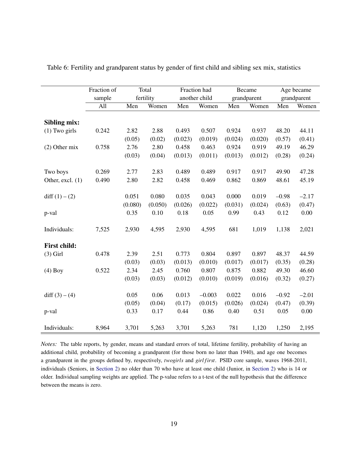|                     | Fraction of |         | Total     |         | Fraction had  |         | Became      |         | Age became  |
|---------------------|-------------|---------|-----------|---------|---------------|---------|-------------|---------|-------------|
|                     | sample      |         | fertility |         | another child |         | grandparent |         | grandparent |
|                     | All         | Men     | Women     | Men     | Women         | Men     | Women       | Men     | Women       |
|                     |             |         |           |         |               |         |             |         |             |
| Sibling mix:        |             |         |           |         |               |         |             |         |             |
| $(1)$ Two girls     | 0.242       | 2.82    | 2.88      | 0.493   | 0.507         | 0.924   | 0.937       | 48.20   | 44.11       |
|                     |             | (0.05)  | (0.02)    | (0.023) | (0.019)       | (0.024) | (0.020)     | (0.57)  | (0.41)      |
| $(2)$ Other mix     | 0.758       | 2.76    | 2.80      | 0.458   | 0.463         | 0.924   | 0.919       | 49.19   | 46.29       |
|                     |             | (0.03)  | (0.04)    | (0.013) | (0.011)       | (0.013) | (0.012)     | (0.28)  | (0.24)      |
|                     |             |         |           |         |               |         |             |         |             |
| Two boys            | 0.269       | 2.77    | 2.83      | 0.489   | 0.489         | 0.917   | 0.917       | 49.90   | 47.28       |
| Other, excl. (1)    | 0.490       | 2.80    | 2.82      | 0.458   | 0.469         | 0.862   | 0.869       | 48.61   | 45.19       |
|                     |             |         |           |         |               |         |             |         |             |
| diff $(1) - (2)$    |             | 0.051   | 0.080     | 0.035   | 0.043         | 0.000   | 0.019       | $-0.98$ | $-2.17$     |
|                     |             | (0.080) | (0.050)   | (0.026) | (0.022)       | (0.031) | (0.024)     | (0.63)  | (0.47)      |
| p-val               |             | 0.35    | 0.10      | 0.18    | 0.05          | 0.99    | 0.43        | 0.12    | 0.00        |
| Individuals:        | 7,525       | 2,930   | 4,595     | 2,930   | 4,595         | 681     | 1,019       | 1,138   | 2,021       |
|                     |             |         |           |         |               |         |             |         |             |
| <b>First child:</b> |             |         |           |         |               |         |             |         |             |
| $(3)$ Girl          | 0.478       | 2.39    | 2.51      | 0.773   | 0.804         | 0.897   | 0.897       | 48.37   | 44.59       |
|                     |             | (0.03)  | (0.03)    | (0.013) | (0.010)       | (0.017) | (0.017)     | (0.35)  | (0.28)      |
| $(4)$ Boy           | 0.522       | 2.34    | 2.45      | 0.760   | 0.807         | 0.875   | 0.882       | 49.30   | 46.60       |
|                     |             | (0.03)  | (0.03)    | (0.012) | (0.010)       | (0.019) | (0.016)     | (0.32)  | (0.27)      |
|                     |             |         |           |         |               |         |             |         |             |
| diff $(3) - (4)$    |             | 0.05    | 0.06      | 0.013   | $-0.003$      | 0.022   | 0.016       | $-0.92$ | $-2.01$     |
|                     |             | (0.05)  | (0.04)    | (0.17)  | (0.015)       | (0.026) | (0.024)     | (0.47)  | (0.39)      |
| p-val               |             | 0.33    | 0.17      | 0.44    | 0.86          | 0.40    | 0.51        | 0.05    | 0.00        |
|                     |             |         |           |         |               |         |             |         |             |
| Individuals:        | 8,964       | 3,701   | 5,263     | 3,701   | 5,263         | 781     | 1,120       | 1,250   | 2,195       |

<span id="page-18-0"></span>Table 6: Fertility and grandparent status by gender of first child and sibling sex mix, statistics

*Notes:* The table reports, by gender, means and standard errors of total, lifetime fertility, probability of having an additional child, probability of becoming a grandparent (for those born no later than 1940), and age one becomes a grandparent in the groups defined by, respectively, *twogirls* and *girl first*. PSID core sample, waves 1968-2011, individuals (Seniors, in [Section 2\)](#page-4-1) no older than 70 who have at least one child (Junior, in [Section 2\)](#page-4-1) who is 14 or older. Individual sampling weights are applied. The p-value refers to a t-test of the null hypothesis that the difference between the means is zero.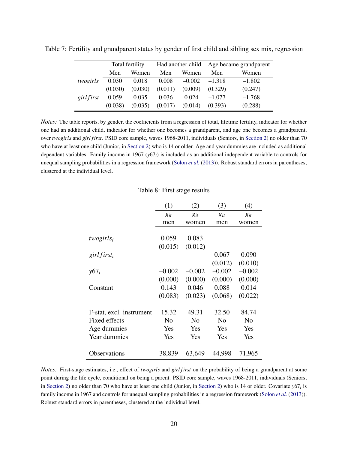<span id="page-19-0"></span>

|            | Total fertility |         |         | Had another child | Age became grandparent |          |  |
|------------|-----------------|---------|---------|-------------------|------------------------|----------|--|
|            | Men             | Women   | Men     | Women             | Men                    | Women    |  |
| twogirls   | 0.030           | 0.018   | 0.008   | $-0.002$          | $-1.318$               | $-1.802$ |  |
|            | (0.030)         | (0.030) | (0.011) | (0.009)           | (0.329)                | (0.247)  |  |
| girl first | 0.059           | 0.035   | 0.036   | 0.024             | $-1.077$               | $-1.768$ |  |
|            | (0.038)         | (0.035) | (0.017) | (0.014)           | (0.393)                | (0.288)  |  |

Table 7: Fertility and grandparent status by gender of first child and sibling sex mix, regression

*Notes:* The table reports, by gender, the coefficients from a regression of total, lifetime fertility, indicator for whether one had an additional child, indicator for whether one becomes a grandparent, and age one becomes a grandparent, over *twogirls* and *girl first*. PSID core sample, waves 1968-2011, individuals (Seniors, in [Section 2\)](#page-4-1) no older than 70 who have at least one child (Junior, in [Section 2\)](#page-4-1) who is 14 or older. Age and year dummies are included as additional dependent variables. Family income in 1967 (*y*67*i*) is included as an additional independent variable to controls for unequal sampling probabilities in a regression framework [\(Solon](#page-37-9) *et al.* [\(2013\)](#page-37-9)). Robust standard errors in parentheses, clustered at the individual level.

<span id="page-19-1"></span>Table 8: First stage results

|                                                       | (1)             | (2)            | (3)            | (4)             |
|-------------------------------------------------------|-----------------|----------------|----------------|-----------------|
|                                                       | g <sub>it</sub> | $g_{it}$       | $g_{it}$       | g <sub>it</sub> |
|                                                       | men             | women          | men            | women           |
|                                                       |                 |                |                |                 |
| $two girls_i$                                         | 0.059           | 0.083          |                |                 |
|                                                       | (0.015)         | (0.012)        |                |                 |
| $\left\{ \left[ r\right] \right\}$ first <sub>i</sub> |                 |                | 0.067          | 0.090           |
|                                                       |                 |                | (0.012)        | (0.010)         |
| $y67_i$                                               | $-0.002$        | $-0.002$       | $-0.002$       | $-0.002$        |
|                                                       | (0.000)         | (0.000)        | (0.000)        | (0.000)         |
| Constant                                              | 0.143           | 0.046          | 0.088          | 0.014           |
|                                                       | (0.083)         | (0.023)        | (0.068)        | (0.022)         |
|                                                       |                 |                |                |                 |
| F-stat, excl. instrument                              | 15.32           | 49.31          | 32.50          | 84.74           |
| Fixed effects                                         | N <sub>0</sub>  | N <sub>0</sub> | N <sub>0</sub> | N <sub>0</sub>  |
| Age dummies                                           | <b>Yes</b>      | Yes            | Yes            | Yes             |
| Year dummies                                          | Yes             | Yes            | Yes            | Yes             |
|                                                       |                 |                |                |                 |
| Observations                                          | 38,839          | 63,649         | 44,998         | 71,965          |

*Notes:* First-stage estimates, i.e., effect of *twogirls* and *girl first* on the probability of being a grandparent at some point during the life cycle, conditional on being a parent. PSID core sample, waves 1968-2011, individuals (Seniors, in [Section 2\)](#page-4-1) no older than 70 who have at least one child (Junior, in [Section 2\)](#page-4-1) who is 14 or older. Covariate *y*67*<sup>i</sup>* is family income in 1967 and controls for unequal sampling probabilities in a regression framework [\(Solon](#page-37-9) *et al.* [\(2013\)](#page-37-9)). Robust standard errors in parentheses, clustered at the individual level.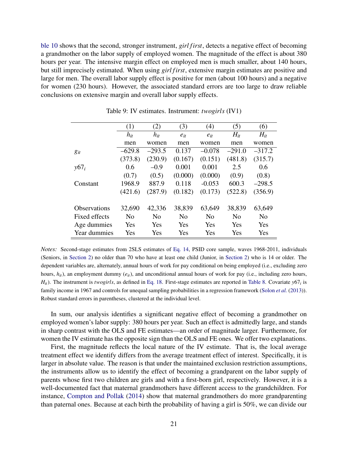[ble 10](#page-21-0) shows that the second, stronger instrument, *girl first*, detects a negative effect of becoming a grandmother on the labor supply of employed women. The magnitude of the effect is about 380 hours per year. The intensive margin effect on employed men is much smaller, about 140 hours, but still imprecisely estimated. When using *girl first*, extensive margin estimates are positive and large for men. The overall labor supply effect is positive for men (about 100 hours) and a negative for women (230 hours). However, the associated standard errors are too large to draw reliable conclusions on extensive margin and overall labor supply effects.

|                     | (1)            | (2)            | (3)            | (4)            | (5)            | (6)            |
|---------------------|----------------|----------------|----------------|----------------|----------------|----------------|
|                     | $h_{it}$       | $h_{it}$       | $e_{it}$       | $e_{it}$       | $H_{it}$       | $H_{it}$       |
|                     | men            | women          | men            | women          | men            | women          |
| $g_{it}$            | $-629.8$       | $-293.5$       | 0.137          | $-0.078$       | $-291.0$       | $-317.2$       |
|                     | (373.8)        | (230.9)        | (0.167)        | (0.151)        | (481.8)        | (315.7)        |
| $y67_i$             | 0.6            | $-0.9$         | 0.001          | 0.001          | 2.5            | 0.6            |
|                     | (0.7)          | (0.5)          | (0.000)        | (0.000)        | (0.9)          | (0.8)          |
| Constant            | 1968.9         | 887.9          | 0.118          | $-0.053$       | 600.3          | $-298.5$       |
|                     | (421.6)        | (287.9)        | (0.182)        | (0.173)        | (522.8)        | (356.9)        |
| <b>Observations</b> | 32,690         | 42,336         | 38,839         | 63,649         | 38,839         | 63,649         |
| Fixed effects       | N <sub>0</sub> | N <sub>0</sub> | N <sub>0</sub> | N <sub>0</sub> | N <sub>0</sub> | N <sub>0</sub> |
| Age dummies         | Yes            | Yes            | Yes            | Yes            | Yes            | Yes            |
| Year dummies        | Yes            | Yes            | Yes            | Yes            | Yes            | Yes            |

<span id="page-20-0"></span>Table 9: IV estimates. Instrument: *twogirls* (IV1)

*Notes:* Second-stage estimates from 2SLS estimates of [Eq. 14,](#page-9-2) PSID core sample, waves 1968-2011, individuals (Seniors, in [Section 2\)](#page-4-1) no older than 70 who have at least one child (Junior, in [Section 2\)](#page-4-1) who is 14 or older. The dependent variables are, alternately, annual hours of work for pay conditional on being employed (i.e., excluding zero hours,  $h_{it}$ ), an employment dummy  $(e_{it})$ , and unconditional annual hours of work for pay (i.e., including zero hours,  $H_{it}$ ). The instrument is *twogirls*, as defined in [Eq. 18.](#page-16-0) First-stage estimates are reported in [Table 8.](#page-19-1) Covariate *y*67*i* is family income in 1967 and controls for unequal sampling probabilities in a regression framework [\(Solon](#page-37-9) *et al.* [\(2013\)](#page-37-9)). Robust standard errors in parentheses, clustered at the individual level.

In sum, our analysis identifies a significant negative effect of becoming a grandmother on employed women's labor supply: 380 hours per year. Such an effect is admittedly large, and stands in sharp contrast with the OLS and FE estimates—an order of magnitude larger. Furthermore, for women the IV estimate has the opposite sign than the OLS and FE ones. We offer two explanations.

First, the magnitude reflects the local nature of the IV estimate. That is, the local average treatment effect we identify differs from the average treatment effect of interest. Specifically, it is larger in absolute value. The reason is that under the maintained exclusion restriction assumptions, the instruments allow us to identify the effect of becoming a grandparent on the labor supply of parents whose first two children are girls and with a first-born girl, respectively. However, it is a well-documented fact that maternal grandmothers have different access to the grandchildren. For instance, [Compton and Pollak](#page-36-8) [\(2014\)](#page-36-8) show that maternal grandmothers do more grandparenting than paternal ones. Because at each birth the probability of having a girl is 50%, we can divide our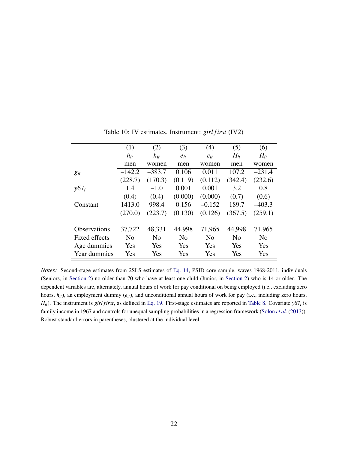|                     | (1)            | (2)            | (3)            | (4)            | (5)            | (6)      |
|---------------------|----------------|----------------|----------------|----------------|----------------|----------|
|                     | $h_{it}$       | $h_{it}$       | $e_{it}$       | $e_{it}$       | $H_{it}$       | $H_{it}$ |
|                     | men            | women          | men            | women          | men            | women    |
| $g_{it}$            | $-142.2$       | $-383.7$       | 0.106          | 0.011          | 107.2          | $-231.4$ |
|                     | (228.7)        | (170.3)        | (0.119)        | (0.112)        | (342.4)        | (232.6)  |
| $y67_i$             | 1.4            | $-1.0$         | 0.001          | 0.001          | 3.2            | 0.8      |
|                     | (0.4)          | (0.4)          | (0.000)        | (0.000)        | (0.7)          | (0.6)    |
| Constant            | 1413.0         | 998.4          | 0.156          | $-0.152$       | 189.7          | $-403.3$ |
|                     | (270.0)        | (223.7)        | (0.130)        | (0.126)        | (367.5)        | (259.1)  |
| <b>Observations</b> | 37,722         | 48,331         | 44,998         | 71,965         | 44,998         | 71,965   |
| Fixed effects       | N <sub>o</sub> | N <sub>0</sub> | N <sub>o</sub> | N <sub>0</sub> | N <sub>0</sub> | No       |
| Age dummies         | Yes            | Yes            | Yes            | Yes            | Yes            | Yes      |
| Year dummies        | Yes            | Yes            | Yes            | Yes            | Yes            | Yes      |

<span id="page-21-0"></span>Table 10: IV estimates. Instrument: *girl first* (IV2)

*Notes:* Second-stage estimates from 2SLS estimates of [Eq. 14,](#page-9-2) PSID core sample, waves 1968-2011, individuals (Seniors, in [Section 2\)](#page-4-1) no older than 70 who have at least one child (Junior, in [Section 2\)](#page-4-1) who is 14 or older. The dependent variables are, alternately, annual hours of work for pay conditional on being employed (i.e., excluding zero hours,  $h_{it}$ ), an employment dummy  $(e_{it})$ , and unconditional annual hours of work for pay (i.e., including zero hours,  $H_{it}$ ). The instrument is *girl first*, as defined in [Eq. 19.](#page-16-1) First-stage estimates are reported in [Table 8.](#page-19-1) Covariate *y*67*i* is family income in 1967 and controls for unequal sampling probabilities in a regression framework [\(Solon](#page-37-9) *et al.* [\(2013\)](#page-37-9)). Robust standard errors in parentheses, clustered at the individual level.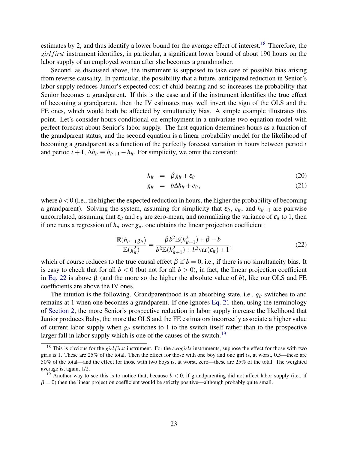estimates by 2, and thus identify a lower bound for the average effect of interest.<sup>[18](#page-22-0)</sup> Therefore, the *girl first* instrument identifies, in particular, a significant lower bound of about 190 hours on the labor supply of an employed woman after she becomes a grandmother.

Second, as discussed above, the instrument is supposed to take care of possible bias arising from reverse causality. In particular, the possibility that a future, anticipated reduction in Senior's labor supply reduces Junior's expected cost of child bearing and so increases the probability that Senior becomes a grandparent. If this is the case and if the instrument identifies the true effect of becoming a grandparent, then the IV estimates may well invert the sign of the OLS and the FE ones, which would both be affected by simultaneity bias. A simple example illustrates this point. Let's consider hours conditional on employment in a univariate two-equation model with perfect forecast about Senior's labor supply. The first equation determines hours as a function of the grandparent status, and the second equation is a linear probability model for the likelihood of becoming a grandparent as a function of the perfectly forecast variation in hours between period *t* and period  $t + 1$ ,  $\Delta h_{it} \equiv h_{it+1} - h_{it}$ . For simplicity, we omit the constant:

<span id="page-22-2"></span>
$$
h_{it} = \beta g_{it} + \varepsilon_{it} \tag{20}
$$

$$
g_{it} = b\Delta h_{it} + e_{it}, \qquad (21)
$$

where  $b < 0$  (i.e., the higher the expected reduction in hours, the higher the probability of becoming a grandparent). Solving the system, assuming for simplicity that  $\varepsilon_{it}$ ,  $e_{it}$ , and  $h_{it+1}$  are pairwise uncorrelated, assuming that  $\varepsilon_{it}$  and  $e_{it}$  are zero-mean, and normalizing the variance of  $\varepsilon_{it}$  to 1, then if one runs a regression of  $h_{it}$  over  $g_{it}$ , one obtains the linear projection coefficient:

<span id="page-22-1"></span>
$$
\frac{\mathbb{E}(h_{it+1}g_{it})}{\mathbb{E}(g_{it}^2)} = \frac{\beta b^2 \mathbb{E}(h_{it+1}^2) + \beta - b}{b^2 \mathbb{E}(h_{it+1}^2) + b^2 \text{var}(\varepsilon_{it}) + 1},\tag{22}
$$

which of course reduces to the true causal effect  $\beta$  if  $b = 0$ , i.e., if there is no simultaneity bias. It is easy to check that for all  $b < 0$  (but not for all  $b > 0$ ), in fact, the linear projection coefficient in [Eq. 22](#page-22-1) is above  $\beta$  (and the more so the higher the absolute value of *b*), like our OLS and FE coefficients are above the IV ones.

The intution is the following. Grandparenthood is an absorbing state, i.e., *git* switches to and remains at 1 when one becomes a grandparent. If one ignores [Eq. 21](#page-22-2) then, using the terminology of [Section 2,](#page-4-1) the more Senior's prospective reduction in labor supply increase the likelihood that Junior produces Baby, the more the OLS and the FE estimators incorrectly associate a higher value of current labor supply when *git* switches to 1 to the switch itself rather than to the prospective larger fall in labor supply which is one of the causes of the switch.<sup>[19](#page-22-3)</sup>

<span id="page-22-0"></span><sup>18</sup> This is obvious for the *girl first* instrument. For the *twogirls* instruments, suppose the effect for those with two girls is 1. These are 25% of the total. Then the effect for those with one boy and one girl is, at worst, 0.5—these are 50% of the total—and the effect for those with two boys is, at worst, zero—these are 25% of the total. The weighted average is, again, 1/2.

<span id="page-22-3"></span><sup>&</sup>lt;sup>19</sup> Another way to see this is to notice that, because  $b < 0$ , if grandparenting did not affect labor supply (i.e., if  $\beta = 0$ ) then the linear projection coefficient would be strictly positive—although probably quite small.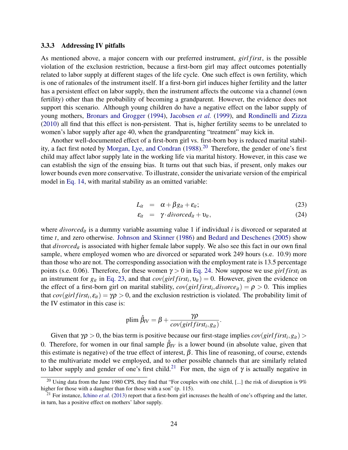#### 3.3.3 Addressing IV pitfalls

As mentioned above, a major concern with our preferred instrument, *girl first*, is the possible violation of the exclusion restriction, because a first-born girl may affect outcomes potentially related to labor supply at different stages of the life cycle. One such effect is own fertility, which is one of rationales of the instrument itself. If a first-born girl induces higher fertility and the latter has a persistent effect on labor supply, then the instrument affects the outcome via a channel (own fertility) other than the probability of becoming a grandparent. However, the evidence does not support this scenario. Although young children do have a negative effect on the labor supply of young mothers, [Bronars and Grogger](#page-36-0) [\(1994\)](#page-36-0), [Jacobsen](#page-37-0) *et al.* [\(1999\)](#page-37-0), and [Rondinelli and Zizza](#page-37-7) [\(2010\)](#page-37-7) all find that this effect is non-persistent. That is, higher fertility seems to be unrelated to women's labor supply after age 40, when the grandparenting "treatment" may kick in.

Another well-documented effect of a first-born girl vs. first-born boy is reduced marital stabil-ity, a fact first noted by [Morgan, Lye, and Condran](#page-37-12) [\(1988\)](#page-37-12).<sup>[20](#page-23-0)</sup> Therefore, the gender of one's first child may affect labor supply late in the working life via marital history. However, in this case we can establish the sign of the ensuing bias. It turns out that such bias, if present, only makes our lower bounds even more conservative. To illustrate, consider the univariate version of the empirical model in [Eq. 14,](#page-9-2) with marital stability as an omitted variable:

<span id="page-23-1"></span>
$$
L_{it} = \alpha + \beta g_{it} + \varepsilon_{it}; \qquad (23)
$$

$$
\varepsilon_{it} = \gamma \cdot \text{divorced}_{it} + \nu_{it}, \qquad (24)
$$

where *divorced<sub>it</sub>* is a dummy variable assuming value 1 if individual *i* is divorced or separated at time *t*, and zero otherwise. [Johnson and Skinner](#page-37-13) [\(1986\)](#page-37-13) and [Bedard and Deschenes](#page-36-13) [\(2005\)](#page-36-13) show that *divorcedit* is associated with higher female labor supply. We also see this fact in our own final sample, where employed women who are divorced or separated work 249 hours (s.e. 10.9) more than those who are not. The corresponding association with the employment rate is 13.5 percentage points (s.e. 0.06). Therefore, for these women  $\gamma > 0$  in [Eq. 24.](#page-23-1) Now suppose we use *girl first<sub>i</sub>* as an instrument for  $g_{it}$  in [Eq. 23,](#page-23-1) and that  $cov(girlfirst_i, v_{it}) = 0$ . However, given the evidence on the effect of a first-born girl on marital stability,  $cov(girlfirst_i,divorce_{it}) = \rho > 0$ . This implies that  $cov(girlfirst_i, \varepsilon_{it}) = \gamma \rho > 0$ , and the exclusion restriction is violated. The probability limit of the IV estimator in this case is:

plim 
$$
\hat{\beta}_{IV} = \beta + \frac{\gamma \rho}{cov(girlfirst_i, g_{it})}
$$
.

Given that  $\gamma \rho > 0$ , the bias term is positive because our first-stage implies  $cov(girlfirst<sub>i</sub>, g<sub>it</sub>) >$ 0. Therefore, for women in our final sample  $\hat{\beta}_I$  is a lower bound (in absolute value, given that this estimate is negative) of the true effect of interest,  $\beta$ . This line of reasoning, of course, extends to the multivariate model we employed, and to other possible channels that are similarly related to labor supply and gender of one's first child.<sup>[21](#page-23-2)</sup> For men, the sign of  $\gamma$  is actually negative in

<span id="page-23-0"></span><sup>&</sup>lt;sup>20</sup> Using data from the June 1980 CPS, they find that "For couples with one child, [...] the risk of disruption is 9% higher for those with a daughter than for those with a son" (p. 115).

<span id="page-23-2"></span> $^{21}$  For instance, [Ichino](#page-37-11) *et al.* [\(2013\)](#page-37-11) report that a first-born girl increases the health of one's offspring and the latter, in turn, has a positive effect on mothers' labor supply.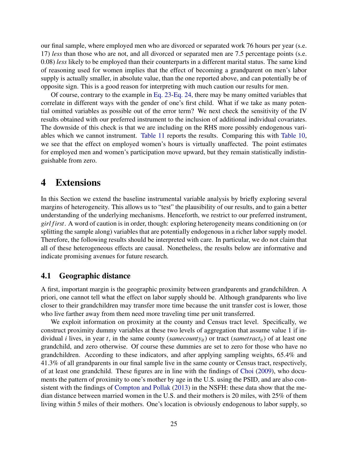our final sample, where employed men who are divorced or separated work 76 hours per year (s.e. 17) *less* than those who are not, and all divorced or separated men are 7.5 percentage points (s.e. 0.08) *less* likely to be employed than their counterparts in a different marital status. The same kind of reasoning used for women implies that the effect of becoming a grandparent on men's labor supply is actually smaller, in absolute value, than the one reported above, and can potentially be of opposite sign. This is a good reason for interpreting with much caution our results for men.

Of course, contrary to the example in [Eq. 23-Eq. 24,](#page-23-1) there may be many omitted variables that correlate in different ways with the gender of one's first child. What if we take as many potential omitted variables as possible out of the error term? We next check the sensitivity of the IV results obtained with our preferred instrument to the inclusion of additional individual covariates. The downside of this check is that we are including on the RHS more possibly endogenous variables which we cannot instrument. [Table 11](#page-25-0) reports the results. Comparing this with [Table 10,](#page-21-0) we see that the effect on employed women's hours is virtually unaffected. The point estimates for employed men and women's participation move upward, but they remain statistically indistinguishable from zero.

## <span id="page-24-0"></span>4 Extensions

In this Section we extend the baseline instrumental variable analysis by briefly exploring several margins of heterogeneity. This allows us to "test" the plausibility of our results, and to gain a better understanding of the underlying mechanisms. Henceforth, we restrict to our preferred instrument, *girl first*. A word of caution is in order, though: exploring heterogeneity means conditioning on (or splitting the sample along) variables that are potentially endogenous in a richer labor supply model. Therefore, the following results should be interpreted with care. In particular, we do not claim that all of these heterogeneous effects are causal. Nonetheless, the results below are informative and indicate promising avenues for future research.

### 4.1 Geographic distance

A first, important margin is the geographic proximity between grandparents and grandchildren. A priori, one cannot tell what the effect on labor supply should be. Although grandparents who live closer to their grandchildren may transfer more time because the unit transfer cost is lower, those who live farther away from them need more traveling time per unit transferred.

We exploit information on proximity at the county and Census tract level. Specifically, we construct proximity dummy variables at these two levels of aggregation that assume value 1 if individual *i* lives, in year *t*, in the same county (*samecounty<sub>it</sub>*) or tract (*sametract<sub>it</sub>*) of at least one grandchild, and zero otherwise. Of course these dummies are set to zero for those who have no grandchildren. According to these indicators, and after applying sampling weights, 65.4% and 41.3% of all grandparents in our final sample live in the same county or Census tract, respectively, of at least one grandchild. These figures are in line with the findings of [Choi](#page-36-14) [\(2009\)](#page-36-14), who documents the pattern of proximity to one's mother by age in the U.S. using the PSID, and are also consistent with the findings of [Compton and Pollak](#page-36-15) [\(2013\)](#page-36-15) in the NSFH: these data show that the median distance between married women in the U.S. and their mothers is 20 miles, with 25% of them living within 5 miles of their mothers. One's location is obviously endogenous to labor supply, so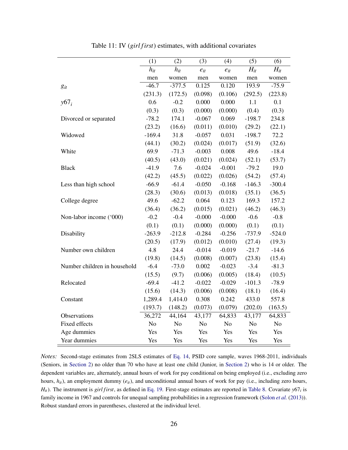|                              | (1)      | (2)            | (3)            | (4)            | (5)            | (6)      |
|------------------------------|----------|----------------|----------------|----------------|----------------|----------|
|                              | $h_{it}$ | $h_{it}$       | $e_{it}$       | $e_{it}$       | $H_{it}$       | $H_{it}$ |
|                              | men      | women          | men            | women          | men            | women    |
| $g_{it}$                     | $-46.7$  | $-377.5$       | 0.125          | 0.120          | 193.9          | $-75.9$  |
|                              | (231.3)  | (172.5)        | (0.098)        | (0.106)        | (292.5)        | (223.8)  |
| $y67_i$                      | 0.6      | $-0.2$         | 0.000          | 0.000          | 1.1            | 0.1      |
|                              | (0.3)    | (0.3)          | (0.000)        | (0.000)        | (0.4)          | (0.3)    |
| Divorced or separated        | $-78.2$  | 174.1          | $-0.067$       | 0.069          | $-198.7$       | 234.8    |
|                              | (23.2)   | (16.6)         | (0.011)        | (0.010)        | (29.2)         | (22.1)   |
| Widowed                      | $-169.4$ | 31.8           | $-0.057$       | 0.031          | $-198.7$       | 72.2     |
|                              | (44.1)   | (30.2)         | (0.024)        | (0.017)        | (51.9)         | (32.6)   |
| White                        | 69.9     | $-71.3$        | $-0.003$       | 0.008          | 49.6           | $-18.4$  |
|                              | (40.5)   | (43.0)         | (0.021)        | (0.024)        | (52.1)         | (53.7)   |
| <b>Black</b>                 | $-41.9$  | 7.6            | $-0.024$       | $-0.001$       | $-79.2$        | 19.0     |
|                              | (42.2)   | (45.5)         | (0.022)        | (0.026)        | (54.2)         | (57.4)   |
| Less than high school        | $-66.9$  | $-61.4$        | $-0.050$       | $-0.168$       | $-146.3$       | $-300.4$ |
|                              | (28.3)   | (30.6)         | (0.013)        | (0.018)        | (35.1)         | (36.5)   |
| College degree               | 49.6     | $-62.2$        | 0.064          | 0.123          | 169.3          | 157.2    |
|                              | (36.4)   | (36.2)         | (0.015)        | (0.021)        | (46.2)         | (46.3)   |
| Non-labor income ('000)      | $-0.2$   | $-0.4$         | $-0.000$       | $-0.000$       | $-0.6$         | $-0.8$   |
|                              | (0.1)    | (0.1)          | (0.000)        | (0.000)        | (0.1)          | (0.1)    |
| Disability                   | $-263.9$ | $-212.8$       | $-0.284$       | $-0.256$       | $-737.9$       | $-524.0$ |
|                              | (20.5)   | (17.9)         | (0.012)        | (0.010)        | (27.4)         | (19.3)   |
| Number own children          | 4.8      | 24.4           | $-0.014$       | $-0.019$       | $-21.7$        | $-14.6$  |
|                              | (19.8)   | (14.5)         | (0.008)        | (0.007)        | (23.8)         | (15.4)   |
| Number children in household | $-6.4$   | $-73.0$        | 0.002          | $-0.023$       | $-3.4$         | $-81.3$  |
|                              | (15.5)   | (9.7)          | (0.006)        | (0.005)        | (18.4)         | (10.5)   |
| Relocated                    | $-69.4$  | $-41.2$        | $-0.022$       | $-0.029$       | $-101.3$       | $-78.9$  |
|                              | (15.6)   | (14.3)         | (0.006)        | (0.008)        | (18.1)         | (16.4)   |
| Constant                     | 1,289.4  | 1,414.0        | 0.308          | 0.242          | 433.0          | 557.8    |
|                              | (193.7)  | (148.2)        | (0.073)        | (0.079)        | (202.0)        | (163.5)  |
| Observations                 | 36,272   | 44,164         | 43,177         | 64,833         | 43,177         | 64,833   |
| <b>Fixed effects</b>         | No       | N <sub>o</sub> | N <sub>o</sub> | N <sub>o</sub> | N <sub>o</sub> | No       |
| Age dummies                  | Yes      | Yes            | Yes            | Yes            | Yes            | Yes      |
| Year dummies                 | Yes      | Yes            | Yes            | Yes            | Yes            | Yes      |

<span id="page-25-0"></span>Table 11: IV (*girl first*) estimates, with additional covariates

*Notes:* Second-stage estimates from 2SLS estimates of [Eq. 14,](#page-9-2) PSID core sample, waves 1968-2011, individuals (Seniors, in [Section 2\)](#page-4-1) no older than 70 who have at least one child (Junior, in [Section 2\)](#page-4-1) who is 14 or older. The dependent variables are, alternately, annual hours of work for pay conditional on being employed (i.e., excluding zero hours,  $h_{it}$ ), an employment dummy ( $e_{it}$ ), and unconditional annual hours of work for pay (i.e., including zero hours,  $H_{it}$ ). The instrument is *girl first*, as defined in [Eq. 19.](#page-16-1) First-stage estimates are reported in [Table 8.](#page-19-1) Covariate *y*67*i* is family income in 1967 and controls for unequal sampling probabilities in a regression framework [\(Solon](#page-37-9) *et al.* [\(2013\)](#page-37-9)). Robust standard errors in parentheses, clustered at the individual level.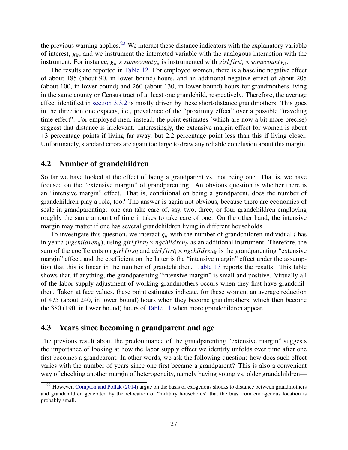the previous warning applies.<sup>[22](#page-26-0)</sup> We interact these distance indicators with the explanatory variable of interest, *git*, and we instrument the interacted variable with the analogous interaction with the instrument. For instance,  $g_{it} \times$ *samecounty*<sup>*it*</sup> is instrumented with *girl first*<sub>*i*</sub>  $\times$  *samecounty*<sup>*it*</sup>.

The results are reported in [Table 12.](#page-27-0) For employed women, there is a baseline negative effect of about 185 (about 90, in lower bound) hours, and an additional negative effect of about 205 (about 100, in lower bound) and 260 (about 130, in lower bound) hours for grandmothers living in the same county or Census tract of at least one grandchild, respectively. Therefore, the average effect identified in [section 3.3.2](#page-17-1) is mostly driven by these short-distance grandmothers. This goes in the direction one expects, i.e., prevalence of the "proximity effect" over a possible "traveling time effect". For employed men, instead, the point estimates (which are now a bit more precise) suggest that distance is irrelevant. Interestingly, the extensive margin effect for women is about +3 percentage points if living far away, but 2.2 percentage point less than this if living closer. Unfortunately, standard errors are again too large to draw any reliable conclusion about this margin.

## 4.2 Number of grandchildren

So far we have looked at the effect of being a grandparent vs. not being one. That is, we have focused on the "extensive margin" of grandparenting. An obvious question is whether there is an "intensive margin" effect. That is, conditional on being a grandparent, does the number of grandchildren play a role, too? The answer is again not obvious, because there are economies of scale in grandparenting: one can take care of, say, two, three, or four grandchildren employing roughly the same amount of time it takes to take care of one. On the other hand, the intensive margin may matter if one has several grandchildren living in different households.

To investigate this question, we interact *git* with the number of grandchildren individual *i* has in year *t* (*ngchildren<sub>it</sub>*), using *girl first<sub>i</sub>* × *ngchildren<sub>it</sub>* as an additional instrument. Therefore, the sum of the coefficients on *girl first<sub>i</sub>* and *girl first<sub>i</sub>*  $\times$  *ngchildren<sub>it</sub>* is the grandparenting "extensive margin" effect, and the coefficient on the latter is the "intensive margin" effect under the assumption that this is linear in the number of grandchildren. [Table 13](#page-28-0) reports the results. This table shows that, if anything, the grandparenting "intensive margin" is small and positive. Virtually all of the labor supply adjustment of working grandmothers occurs when they first have grandchildren. Taken at face values, these point estimates indicate, for these women, an average reduction of 475 (about 240, in lower bound) hours when they become grandmothers, which then become the 380 (190, in lower bound) hours of [Table 11](#page-25-0) when more grandchildren appear.

### 4.3 Years since becoming a grandparent and age

The previous result about the predominance of the grandparenting "extensive margin" suggests the importance of looking at how the labor supply effect we identify unfolds over time after one first becomes a grandparent. In other words, we ask the following question: how does such effect varies with the number of years since one first became a grandparent? This is also a convenient way of checking another margin of heterogeneity, namely having young vs. older grandchildren—

<span id="page-26-0"></span><sup>&</sup>lt;sup>22</sup> However, [Compton and Pollak](#page-36-8) [\(2014\)](#page-36-8) argue on the basis of exogenous shocks to distance between grandmothers and grandchildren generated by the relocation of "military households" that the bias from endogenous location is probably small.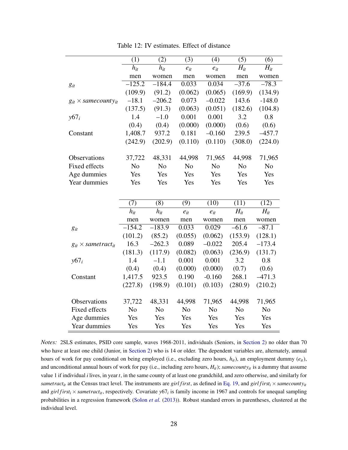|                                          | (1)            | (2)            | (3)            | (4)            | (5)                 | (6)            |
|------------------------------------------|----------------|----------------|----------------|----------------|---------------------|----------------|
|                                          | $h_{it}$       | $h_{it}$       | $e_{it}$       | $e_{it}$       | $H_{it}$            | $H_{it}$       |
|                                          | men            | women          | men            | women          | men                 | women          |
| $g_{it}$                                 | $-125.2$       | $-184.4$       | 0.033          | 0.034          | $-37.6$             | $-78.3$        |
|                                          | (109.9)        | (91.2)         | (0.062)        | (0.065)        | (169.9)             | (134.9)        |
| $g_{it} \times$ samecounty <sub>it</sub> | $-18.1$        | $-206.2$       | 0.073          | $-0.022$       | 143.6               | $-148.0$       |
|                                          | (137.5)        | (91.3)         | (0.063)        | (0.051)        | (182.6)             | (104.8)        |
| $y67_i$                                  | 1.4            | $-1.0$         | 0.001          | 0.001          | 3.2                 | 0.8            |
|                                          | (0.4)          | (0.4)          | (0.000)        | (0.000)        | (0.6)               | (0.6)          |
| Constant                                 | 1,408.7        | 937.2          | 0.181          | $-0.160$       | 239.5               | $-457.7$       |
|                                          | (242.9)        | (202.9)        | (0.110)        | (0.110)        | (308.0)             | (224.0)        |
|                                          |                |                |                |                |                     |                |
| Observations                             | 37,722         | 48,331         | 44,998         | 71,965         | 44,998              | 71,965         |
| <b>Fixed effects</b>                     | N <sub>o</sub> | N <sub>o</sub> | N <sub>o</sub> | N <sub>o</sub> | N <sub>o</sub>      | N <sub>0</sub> |
| Age dummies                              | Yes            | Yes            | Yes            | Yes            | Yes                 | Yes            |
| Year dummies                             | Yes            | Yes            | Yes            | Yes            | Yes                 | Yes            |
|                                          |                |                |                |                |                     |                |
|                                          | (7)            | (8)            | (9)            | (10)           | (11)                | (12)           |
|                                          | $h_{it}$       | $\bar{h}_{it}$ | $e_{it}$       | $e_{it}$       | $\overline{H_{it}}$ | $H_{it}$       |
|                                          | men            | women          | men            | women          | men                 | women          |
| $g_{it}$                                 | $-154.2$       | $-183.9$       | 0.033          | 0.029          | $-61.6$             | $-87.1$        |
|                                          | (101.2)        | (85.2)         | (0.055)        | (0.062)        | (153.9)             | (128.1)        |
| $g_{it} \times$ sametract <sub>it</sub>  | 16.3           | $-262.3$       | 0.089          | $-0.022$       | 205.4               | $-173.4$       |
|                                          | (181.3)        | (117.9)        | (0.082)        | (0.063)        | (236.9)             | (131.7)        |
| $y67_i$                                  | 1.4            | $-1.1$         | 0.001          | 0.001          | 3.2                 | 0.8            |
|                                          | (0.4)          | (0.4)          | (0.000)        | (0.000)        | (0.7)               | (0.6)          |
| Constant                                 | 1,417.5        | 923.5          | 0.190          | $-0.160$       | 268.1               | $-471.3$       |
|                                          | (227.8)        | (198.9)        | (0.101)        | (0.103)        | (280.9)             | (210.2)        |
|                                          |                |                |                |                |                     |                |
| Observations                             | 37,722         | 48,331         | 44,998         | 71,965         | 44,998              | 71,965         |
| <b>Fixed effects</b>                     | N <sub>o</sub> | N <sub>o</sub> | N <sub>o</sub> | N <sub>o</sub> | N <sub>o</sub>      | N <sub>o</sub> |
| Age dummies                              | Yes            | Yes            | Yes            | Yes            | Yes                 | Yes            |
| Year dummies                             | Yes            | Yes            | Yes            | Yes            | Yes                 | Yes            |

<span id="page-27-0"></span>Table 12: IV estimates. Effect of distance

*Notes:* 2SLS estimates, PSID core sample, waves 1968-2011, individuals (Seniors, in [Section 2\)](#page-4-1) no older than 70 who have at least one child (Junior, in [Section 2\)](#page-4-1) who is 14 or older. The dependent variables are, alternately, annual hours of work for pay conditional on being employed (i.e., excluding zero hours, *hit*), an employment dummy (*eit*), and unconditional annual hours of work for pay (i.e., including zero hours,  $H_i$ ); *samecounty*<sub>it</sub> is a dummy that assume value 1 if individual *i* lives, in year *t*, in the same county of at least one grandchild, and zero otherwise, and similarly for *sametract<sub>it</sub>* at the Census tract level. The instruments are *girl first*, as defined in [Eq. 19,](#page-16-1) and *girl first<sub>i</sub>* × *samecounty<sub>it</sub>* and  $girlfirst_i \times sametract_{it}$ , respectively. Covariate  $y67_i$  is family income in 1967 and controls for unequal sampling probabilities in a regression framework [\(Solon](#page-37-9) *et al.* [\(2013\)](#page-37-9)). Robust standard errors in parentheses, clustered at the individual level.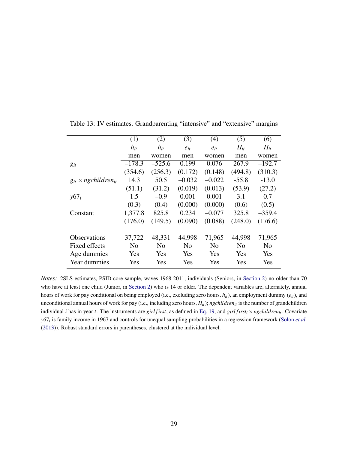|                                          | (1)            | (2)            | (3)            | (4)            | (5)            | (6)            |
|------------------------------------------|----------------|----------------|----------------|----------------|----------------|----------------|
|                                          | $h_{it}$       | $h_{it}$       | $e_{it}$       | $e_{it}$       | $H_{it}$       | $H_{it}$       |
|                                          | men            | women          | men            | women          | men            | women          |
| $g_{it}$                                 | $-178.3$       | $-525.6$       | 0.199          | 0.076          | 267.9          | $-192.7$       |
|                                          | (354.6)        | (256.3)        | (0.172)        | (0.148)        | (494.8)        | (310.3)        |
| $g_{it} \times$ ngchildren <sub>it</sub> | 14.3           | 50.5           | $-0.032$       | $-0.022$       | $-55.8$        | $-13.0$        |
|                                          | (51.1)         | (31.2)         | (0.019)        | (0.013)        | (53.9)         | (27.2)         |
| $y67_i$                                  | 1.5            | $-0.9$         | 0.001          | 0.001          | 3.1            | 0.7            |
|                                          | (0.3)          | (0.4)          | (0.000)        | (0.000)        | (0.6)          | (0.5)          |
| Constant                                 | 1,377.8        | 825.8          | 0.234          | $-0.077$       | 325.8          | $-359.4$       |
|                                          | (176.0)        | (149.5)        | (0.090)        | (0.088)        | (248.0)        | (176.6)        |
| Observations                             | 37,722         | 48,331         | 44,998         | 71,965         | 44,998         | 71,965         |
| Fixed effects                            | N <sub>o</sub> | N <sub>o</sub> | N <sub>o</sub> | N <sub>o</sub> | N <sub>0</sub> | N <sub>o</sub> |
| Age dummies                              | Yes            | Yes            | Yes            | Yes            | Yes            | Yes            |
| Year dummies                             | Yes            | Yes            | Yes            | Yes            | Yes            | Yes            |

<span id="page-28-0"></span>Table 13: IV estimates. Grandparenting "intensive" and "extensive" margins

*Notes:* 2SLS estimates, PSID core sample, waves 1968-2011, individuals (Seniors, in [Section 2\)](#page-4-1) no older than 70 who have at least one child (Junior, in [Section 2\)](#page-4-1) who is 14 or older. The dependent variables are, alternately, annual hours of work for pay conditional on being employed (i.e., excluding zero hours, *hit*), an employment dummy (*eit*), and unconditional annual hours of work for pay (i.e., including zero hours, *Hit*); *ngchildrenit* is the number of grandchildren individual *i* has in year *t*. The instruments are *girl first*, as defined in [Eq. 19,](#page-16-1) and *girl first*<sub>*i*</sub> × *ngchildren*<sub>*it*</sub>. Covariate *y*67*<sup>i</sup>* is family income in 1967 and controls for unequal sampling probabilities in a regression framework [\(Solon](#page-37-9) *et al.* [\(2013\)](#page-37-9)). Robust standard errors in parentheses, clustered at the individual level.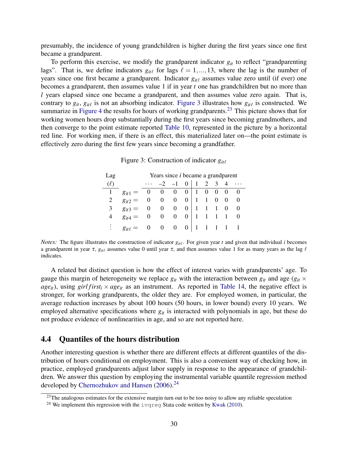presumably, the incidence of young grandchildren is higher during the first years since one first became a grandparent.

To perform this exercise, we modify the grandparent indicator *git* to reflect "grandparenting lags". That is, we define indicators  $g_{it\ell}$  for lags  $\ell = 1, ..., 13$ , where the lag is the number of years since one first became a grandparent. Indicator  $g_{it\ell}$  assumes value zero until (if ever) one becomes a grandparent, then assumes value 1 if in year *t* one has grandchildren but no more than *l* years elapsed since one became a grandparent, and then assumes value zero again. That is, contrary to  $g_{it}$ ,  $g_{it\ell}$  is not an absorbing indicator. [Figure 3](#page-29-0) illustrates how  $g_{it\ell}$  is constructed. We summarize in [Figure 4](#page-30-0) the results for hours of working grandparents.<sup>[23](#page-29-1)</sup> This picture shows that for working women hours drop substantially during the first years since becoming grandmothers, and then converge to the point estimate reported [Table 10,](#page-21-0) represented in the picture by a horizontal red line. For working men, if there is an effect, this materialized later on—the point estimate is effectively zero during the first few years since becoming a grandfather.

<span id="page-29-0"></span>Figure 3: Construction of indicator  $g_{it\ell}$ 

| Lag              | Years since <i>i</i> became a grandparent                                   |                                        |                                   |  |  |  |  |  |  |  |
|------------------|-----------------------------------------------------------------------------|----------------------------------------|-----------------------------------|--|--|--|--|--|--|--|
| $\ell$           |                                                                             |                                        | $\cdots$ -2 -1 0 1 2 3 4 $\cdots$ |  |  |  |  |  |  |  |
|                  | 1 $g_{it1} =$                                                               | $0 \t 0 \t 0 \t 0 \t 1 \t 0 \t 0 \t 0$ |                                   |  |  |  |  |  |  |  |
|                  | $g_{it2} = 0 0 0 0 1 1 0 0 0$                                               |                                        |                                   |  |  |  |  |  |  |  |
| 3 <sup>7</sup>   | $g_{it3} = \begin{bmatrix} 0 & 0 & 0 & 0 & 1 & 1 & 1 & 0 & 0 \end{bmatrix}$ |                                        |                                   |  |  |  |  |  |  |  |
|                  | $g_{it4} = 0 0 0 0 1 1 1 1 0$                                               |                                        |                                   |  |  |  |  |  |  |  |
| $\mathbb{R}^{n}$ | $g_{it\ell} =$                                                              | $0 \t 0 \t 0 \t 0 \t 1 \t 1 \t 1 \t 1$ |                                   |  |  |  |  |  |  |  |

*Notes:* The figure illustrates the construction of indicator  $g_{it\ell}$ . For given year *t* and given that individual *i* becomes a grandparent in year  $\tau$ ,  $g_{i\ell}$  assumes value 0 until year  $\tau$ , and then assumes value 1 for as many years as the lag  $\ell$ indicates.

A related but distinct question is how the effect of interest varies with grandparents' age. To gauge this margin of heterogeneity we replace  $g_{it}$  with the interaction between  $g_{it}$  and age ( $g_{it}$  ×  $age<sub>it</sub>$ ), using *girl first<sub>i</sub>* ×  $age<sub>it</sub>$  as an instrument. As reported in [Table 14,](#page-30-1) the negative effect is stronger, for working grandparents, the older they are. For employed women, in particular, the average reduction increases by about 100 hours (50 hours, in lower bound) every 10 years. We employed alternative specifications where  $g_{it}$  is interacted with polynomials in age, but these do not produce evidence of nonlinearities in age, and so are not reported here.

#### 4.4 Quantiles of the hours distribution

Another interesting question is whether there are different effects at different quantiles of the distribution of hours conditional on employment. This is also a convenient way of checking how, in practice, employed grandparents adjust labor supply in response to the appearance of grandchildren. We answer this question by employing the instrumental variable quantile regression method developed by [Chernozhukov and Hansen](#page-36-16) [\(2006\)](#page-36-16).<sup>[24](#page-29-2)</sup>

<span id="page-29-1"></span> $23$ The analogous estimates for the extensive margin turn out to be too noisy to allow any reliable speculation

<span id="page-29-2"></span><sup>&</sup>lt;sup>24</sup> We implement this regression with the ivqreg Stata code written by [Kwak](#page-37-14) [\(2010\)](#page-37-14).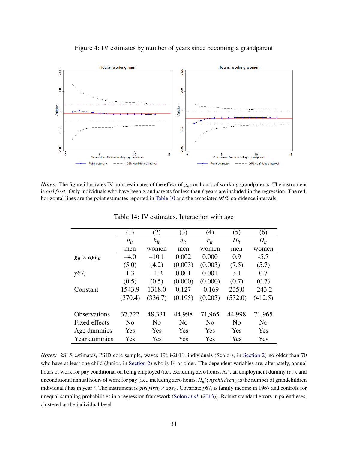<span id="page-30-0"></span>



*Notes:* The figure illustrates IV point estimates of the effect of  $g_{it\ell}$  on hours of working grandparents. The instrument is *girl first*. Only individuals who have been grandparents for less than  $\ell$  years are included in the regression. The red, horizontal lines are the point estimates reported in [Table 10](#page-21-0) and the associated 95% confidence intervals.

|                          | (1)            | (2)            | (3)            | (4)            | (5)            | (6)            |
|--------------------------|----------------|----------------|----------------|----------------|----------------|----------------|
|                          | $h_{it}$       | $h_{it}$       | $e_{it}$       | $e_{it}$       | $H_{it}$       | $H_{it}$       |
|                          | men            | women          | men            | women          | men            | women          |
| $g_{it} \times age_{it}$ | $-4.0$         | $-10.1$        | 0.002          | 0.000          | 0.9            | $-5.7$         |
|                          | (5.0)          | (4.2)          | (0.003)        | (0.003)        | (7.5)          | (5.7)          |
| $y67_i$                  | 1.3            | $-1.2$         | 0.001          | 0.001          | 3.1            | 0.7            |
|                          | (0.5)          | (0.5)          | (0.000)        | (0.000)        | (0.7)          | (0.7)          |
| Constant                 | 1543.9         | 1318.0         | 0.127          | $-0.169$       | 235.0          | $-243.2$       |
|                          | (370.4)        | (336.7)        | (0.195)        | (0.203)        | (532.0)        | (412.5)        |
| <b>Observations</b>      | 37,722         | 48,331         | 44,998         | 71,965         | 44,998         | 71,965         |
| Fixed effects            | N <sub>0</sub> | N <sub>o</sub> | N <sub>0</sub> | N <sub>0</sub> | N <sub>0</sub> | N <sub>0</sub> |
| Age dummies              | Yes            | Yes            | Yes            | Yes            | Yes            | Yes            |
| Year dummies             | Yes            | Yes            | <b>Yes</b>     | Yes            | Yes            | Yes            |

<span id="page-30-1"></span>Table 14: IV estimates. Interaction with age

*Notes:* 2SLS estimates, PSID core sample, waves 1968-2011, individuals (Seniors, in [Section 2\)](#page-4-1) no older than 70 who have at least one child (Junior, in [Section 2\)](#page-4-1) who is 14 or older. The dependent variables are, alternately, annual hours of work for pay conditional on being employed (i.e., excluding zero hours, *hit*), an employment dummy (*eit*), and unconditional annual hours of work for pay (i.e., including zero hours, *Hit*); *ngchildrenit* is the number of grandchildren individual *i* has in year *t*. The instrument is *girl first<sup>i</sup>* ×*ageit*. Covariate *y*67*<sup>i</sup>* is family income in 1967 and controls for unequal sampling probabilities in a regression framework [\(Solon](#page-37-9) *et al.* [\(2013\)](#page-37-9)). Robust standard errors in parentheses, clustered at the individual level.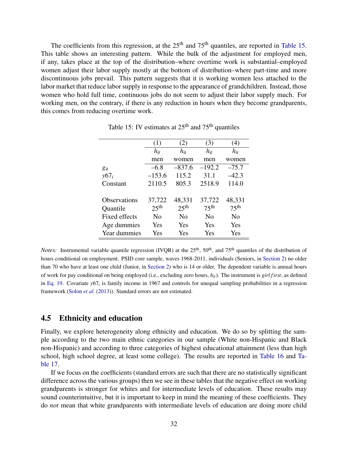The coefficients from this regression, at the  $25<sup>th</sup>$  and  $75<sup>th</sup>$  quantiles, are reported in [Table 15.](#page-31-0) This table shows an interesting pattern. While the bulk of the adjustment for employed men, if any, takes place at the top of the distribution–where overtime work is substantial–employed women adjust their labor supply mostly at the bottom of distribution–where part-time and more discontinuous jobs prevail. This pattern suggests that it is working women less attached to the labor market that reduce labor supply in response to the appearance of grandchildren. Instead, those women who hold full time, continuous jobs do not seem to adjust their labor supply much. For working men, on the contrary, if there is any reduction in hours when they become grandparents, this comes from reducing overtime work.

|                     | (1)              | (2)              | (3)              | (4)              |
|---------------------|------------------|------------------|------------------|------------------|
|                     | $h_{it}$         | $h_{it}$         | $h_{it}$         | $h_{it}$         |
|                     | men              | women            | men              | women            |
| $g_{it}$            | $-6.8$           | $-837.6$         | $-192.2$         | $-75.7$          |
| $y67_i$             | $-153.6$         | 115.2            | 31.1             | $-42.3$          |
| Constant            | 2110.5           | 805.3            | 2518.9           | 114.0            |
|                     |                  |                  |                  |                  |
| <b>Observations</b> | 37,722           | 48,331           | 37,722           | 48,331           |
| Quantile            | 25 <sup>th</sup> | 25 <sup>th</sup> | 75 <sup>th</sup> | 75 <sup>th</sup> |
| Fixed effects       | $\rm No$         | N <sub>0</sub>   | $\rm No$         | No               |
| Age dummies         | Yes              | Yes              | Yes              | Yes              |
| Year dummies        | Yes              | Yes              | Yes              | Yes              |

<span id="page-31-0"></span>Table 15: IV estimates at  $25<sup>th</sup>$  and  $75<sup>th</sup>$  quantiles

*Notes:* Instrumental variable quantile regression (IVQR) at the  $25<sup>th</sup>$ ,  $50<sup>th</sup>$ , and  $75<sup>th</sup>$  quantiles of the distribution of hours conditional on employment. PSID core sample, waves 1968-2011, individuals (Seniors, in [Section 2\)](#page-4-1) no older than 70 who have at least one child (Junior, in [Section 2\)](#page-4-1) who is 14 or older. The dependent variable is annual hours of work for pay conditional on being employed (i.e., excluding zero hours, *hit*). The instrument is *girl first*, as defined in [Eq. 19.](#page-16-1) Covariate *y*67*<sup>i</sup>* is family income in 1967 and controls for unequal sampling probabilities in a regression framework [\(Solon](#page-37-9) *et al.* [\(2013\)](#page-37-9)). Standard errors are not estimated.

### 4.5 Ethnicity and education

Finally, we explore heterogeneity along ethnicity and education. We do so by splitting the sample according to the two main ethnic categories in our sample (White non-Hispanic and Black non-Hispanic) and according to three categories of highest educational attainment (less than high school, high school degree, at least some college). The results are reported in [Table 16](#page-32-0) and [Ta](#page-33-0)[ble 17.](#page-33-0)

If we focus on the coefficients (standard errors are such that there are no statistically significant difference across the various groups) then we see in these tables that the negative effect on working grandparents is stronger for whites and for intermediate levels of education. These results may sound counterintuitive, but it is important to keep in mind the meaning of these coefficients. They do *not* mean that white grandparents with intermediate levels of education are doing more child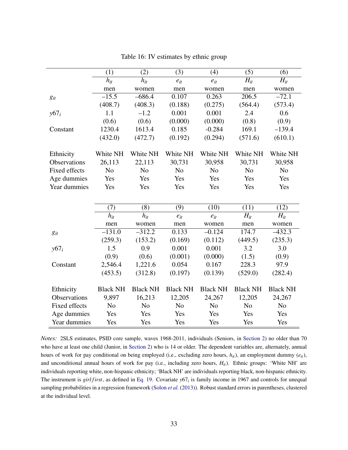|                      | (1)             | (2)             | (3)             | (4)             | (5)                | (6)             |
|----------------------|-----------------|-----------------|-----------------|-----------------|--------------------|-----------------|
|                      | $h_{it}$        | $h_{it}$        | $e_{it}$        | $e_{it}$        | $H_{it}$           | $H_{it}$        |
|                      | men             | women           | men             | women           | men                | women           |
| $g_{it}$             | $-15.5$         | $-686.4$        | 0.107           | 0.263           | $\overline{206.5}$ | $-72.1$         |
|                      | (408.7)         | (408.3)         | (0.188)         | (0.275)         | (564.4)            | (573.4)         |
| $y67_i$              | 1.1             | $-1.2$          | 0.001           | 0.001           | 2.4                | 0.6             |
|                      | (0.6)           | (0.6)           | (0.000)         | (0.000)         | (0.8)              | (0.9)           |
| Constant             | 1230.4          | 1613.4          | 0.185           | $-0.284$        | 169.1              | $-139.4$        |
|                      | (432.0)         | (472.7)         | (0.192)         | (0.294)         | (571.6)            | (610.1)         |
| Ethnicity            | White NH        | White NH        | White NH        | White NH        | White NH           | White NH        |
| Observations         | 26,113          | 22,113          | 30,731          | 30,958          | 30,731             | 30,958          |
| Fixed effects        | N <sub>o</sub>  | N <sub>o</sub>  | N <sub>o</sub>  | N <sub>o</sub>  | N <sub>o</sub>     | N <sub>o</sub>  |
| Age dummies          | Yes             | Yes             | Yes             | Yes             | Yes                | Yes             |
| Year dummies         | Yes             | Yes             | Yes             | Yes             | Yes                | Yes             |
|                      |                 |                 |                 |                 |                    |                 |
|                      | (7)             | (8)             | (9)             | (10)            | (11)               | (12)            |
|                      | $h_{it}$        | $h_{it}$        | $e_{it}$        | $e_{it}$        | $H_{it}$           | $H_{it}$        |
|                      | men             | women           | men             | women           | men                | women           |
| $g_{it}$             | $-131.0$        | $-312.2$        | 0.133           | $-0.124$        | 174.7              | $-432.3$        |
|                      | (259.3)         | (153.2)         | (0.169)         | (0.112)         | (449.5)            | (235.3)         |
| $y67_i$              | 1.5             | 0.9             | 0.001           | 0.001           | 3.2                | 3.0             |
|                      | (0.9)           | (0.6)           | (0.001)         | (0.000)         | (1.5)              | (0.9)           |
| Constant             | 2,546.4         | 1,221.6         | 0.054           | 0.167           | 228.3              | 97.9            |
|                      | (453.5)         | (312.8)         | (0.197)         | (0.139)         | (529.0)            | (282.4)         |
| Ethnicity            | <b>Black NH</b> | <b>Black NH</b> | <b>Black NH</b> | <b>Black NH</b> | <b>Black NH</b>    | <b>Black NH</b> |
| Observations         | 9,897           | 16,213          | 12,205          | 24,267          | 12,205             | 24,267          |
| <b>Fixed effects</b> | N <sub>o</sub>  | N <sub>o</sub>  | N <sub>o</sub>  | N <sub>o</sub>  | N <sub>o</sub>     | N <sub>o</sub>  |
| Age dummies          | Yes             | Yes             | Yes             | Yes             | Yes                | Yes             |
| Year dummies         | Yes             | Yes             | Yes             | Yes             | Yes                | Yes             |

<span id="page-32-0"></span>Table 16: IV estimates by ethnic group

*Notes:* 2SLS estimates, PSID core sample, waves 1968-2011, individuals (Seniors, in [Section 2\)](#page-4-1) no older than 70 who have at least one child (Junior, in [Section 2\)](#page-4-1) who is 14 or older. The dependent variables are, alternately, annual hours of work for pay conditional on being employed (i.e., excluding zero hours, *hit*), an employment dummy (*eit*), and unconditional annual hours of work for pay (i.e., including zero hours,  $H_{it}$ ). Ethnic groups: 'White NH' are individuals reporting white, non-hispanic ethnicity; 'Black NH' are individuals reporting black, non-hispanic ethnicity. The instrument is *girl first*, as defined in [Eq. 19.](#page-16-1) Covariate *y*67*<sup>i</sup>* is family income in 1967 and controls for unequal sampling probabilities in a regression framework [\(Solon](#page-37-9) *et al.* [\(2013\)](#page-37-9)). Robust standard errors in parentheses, clustered at the individual level.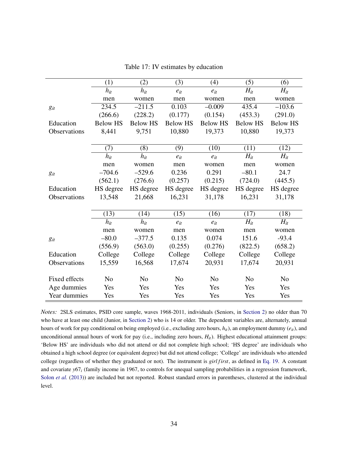<span id="page-33-0"></span>Table 17: IV estimates by education

|                      | (1)             | (2)             | (3)             | (4)             | (5)             | (6)             |
|----------------------|-----------------|-----------------|-----------------|-----------------|-----------------|-----------------|
|                      | $\bar{h}_{it}$  | $h_{it}$        | $e_{it}$        | $e_{it}$        | $H_{it}$        | $H_{it}$        |
|                      | men             | women           | men             | women           | men             | women           |
| g <sub>it</sub>      | 234.5           | $-211.5$        | 0.103           | $-0.009$        | 435.4           | $-103.6$        |
|                      | (266.6)         | (228.2)         | (0.177)         | (0.154)         | (453.3)         | (291.0)         |
| Education            | <b>Below HS</b> | <b>Below HS</b> | <b>Below HS</b> | <b>Below HS</b> | <b>Below HS</b> | <b>Below HS</b> |
| Observations         | 8,441           | 9,751           | 10,880          | 19,373          | 10,880          | 19,373          |
|                      |                 |                 |                 |                 |                 |                 |
|                      | (7)             | (8)             | (9)             | (10)            | (11)            | (12)            |
|                      | $h_{it}$        | $h_{it}$        | $e_{it}$        | $e_{it}$        | $H_{it}$        | $H_{it}$        |
|                      | men             | women           | men             | women           | men             | women           |
| $g_{it}$             | $-704.6$        | $-529.6$        | 0.236           | 0.291           | $-80.1$         | 24.7            |
|                      | (562.1)         | (276.6)         | (0.257)         | (0.215)         | (724.0)         | (445.5)         |
| Education            | HS degree       | HS degree       | HS degree       | HS degree       | HS degree       | HS degree       |
| Observations         | 13,548          | 21,668          | 16,231          | 31,178          | 16,231          | 31,178          |
|                      |                 |                 |                 |                 |                 |                 |
|                      | (13)            | (14)            | (15)            | (16)            | (17)            | (18)            |
|                      | $h_{it}$        | $h_{it}$        | $e_{it}$        | $e_{it}$        | $H_{it}$        | $H_{it}$        |
|                      | men             | women           | men             | women           | men             | women           |
| $g_{it}$             | $-80.0$         | $-377.5$        | 0.135           | 0.074           | 151.6           | $-93.4$         |
|                      | (556.9)         | (563.0)         | (0.255)         | (0.276)         | (822.5)         | (658.2)         |
| Education            | College         | College         | College         | College         | College         | College         |
| Observations         | 15,559          | 16,568          | 17,674          | 20,931          | 17,674          | 20,931          |
|                      |                 |                 |                 |                 |                 |                 |
| <b>Fixed effects</b> | N <sub>o</sub>  | N <sub>o</sub>  | N <sub>o</sub>  | N <sub>o</sub>  | N <sub>o</sub>  | N <sub>o</sub>  |
| Age dummies          | Yes             | Yes             | Yes             | Yes             | Yes             | Yes             |
| Year dummies         | Yes             | Yes             | Yes             | Yes             | Yes             | Yes             |

*Notes:* 2SLS estimates, PSID core sample, waves 1968-2011, individuals (Seniors, in [Section 2\)](#page-4-1) no older than 70 who have at least one child (Junior, in [Section 2\)](#page-4-1) who is 14 or older. The dependent variables are, alternately, annual hours of work for pay conditional on being employed (i.e., excluding zero hours, *hit*), an employment dummy (*eit*), and unconditional annual hours of work for pay (i.e., including zero hours, *Hit*). Highest educational attainment groups: 'Below HS' are individuals who did not attend or did not complete high school; 'HS degree' are individuals who obtained a high school degree (or equivalent degree) but did not attend college; 'College' are individuals who attended college (regardless of whether they graduated or not). The instrument is *girl first*, as defined in [Eq. 19.](#page-16-1) A constant and covariate *y*67*<sup>i</sup>* (family income in 1967, to controls for unequal sampling probabilities in a regression framework, [Solon](#page-37-9) *et al.* [\(2013\)](#page-37-9)) are included but not reported. Robust standard errors in parentheses, clustered at the individual level.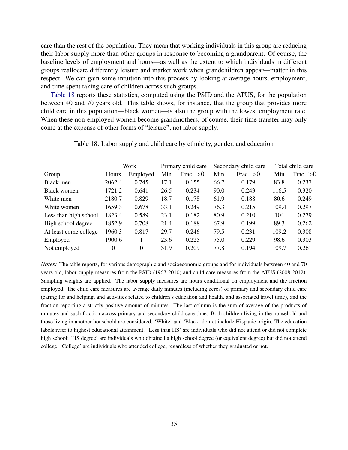care than the rest of the population. They mean that working individuals in this group are reducing their labor supply more than other groups in response to becoming a grandparent. Of course, the baseline levels of employment and hours—as well as the extent to which individuals in different groups reallocate differently leisure and market work when grandchildren appear—matter in this respect. We can gain some intuition into this process by looking at average hours, employment, and time spent taking care of children across such groups.

[Table 18](#page-34-0) reports these statistics, computed using the PSID and the ATUS, for the population between 40 and 70 years old. This table shows, for instance, that the group that provides more child care in this population—black women—is also the group with the lowest employment rate. When these non-employed women become grandmothers, of course, their time transfer may only come at the expense of other forms of "leisure", not labor supply.

|                       | Work   |                | Primary child care |            | Secondary child care |            | Total child care |            |
|-----------------------|--------|----------------|--------------------|------------|----------------------|------------|------------------|------------|
| Group                 | Hours  | Employed       | Min                | Frac. $>0$ | Min                  | Frac. $>0$ | Min              | Frac. $>0$ |
| Black men             | 2062.4 | 0.745          | 17.1               | 0.155      | 66.7                 | 0.179      | 83.8             | 0.237      |
| Black women           | 1721.2 | 0.641          | 26.5               | 0.234      | 90.0                 | 0.243      | 116.5            | 0.320      |
| White men             | 2180.7 | 0.829          | 18.7               | 0.178      | 61.9                 | 0.188      | 80.6             | 0.249      |
| White women           | 1659.3 | 0.678          | 33.1               | 0.249      | 76.3                 | 0.215      | 109.4            | 0.297      |
| Less than high school | 1823.4 | 0.589          | 23.1               | 0.182      | 80.9                 | 0.210      | 104              | 0.279      |
| High school degree    | 1852.9 | 0.708          | 21.4               | 0.188      | 67.9                 | 0.199      | 89.3             | 0.262      |
| At least come college | 1960.3 | 0.817          | 29.7               | 0.246      | 79.5                 | 0.231      | 109.2            | 0.308      |
| Employed              | 1900.6 |                | 23.6               | 0.225      | 75.0                 | 0.229      | 98.6             | 0.303      |
| Not employed          | 0      | $\overline{0}$ | 31.9               | 0.209      | 77.8                 | 0.194      | 109.7            | 0.261      |

<span id="page-34-0"></span>Table 18: Labor supply and child care by ethnicity, gender, and education

*Notes:* The table reports, for various demographic and socioeconomic groups and for individuals between 40 and 70 years old, labor supply measures from the PSID (1967-2010) and child care measures from the ATUS (2008-2012). Sampling weights are applied. The labor supply measures are hours conditional on employment and the fraction employed. The child care measures are average daily minutes (including zeros) of primary and secondary child care (caring for and helping, and activities related to children's education and health, and associated travel time), and the fraction reporting a strictly positive amount of minutes. The last column is the sum of average of the products of minutes and such fraction across primary and secondary child care time. Both children living in the household and those living in another household are considered. 'White' and 'Black' do not include Hispanic origin. The education labels refer to highest educational attainment. 'Less than HS' are individuals who did not attend or did not complete high school; 'HS degree' are individuals who obtained a high school degree (or equivalent degree) but did not attend college; 'College' are individuals who attended college, regardless of whether they graduated or not.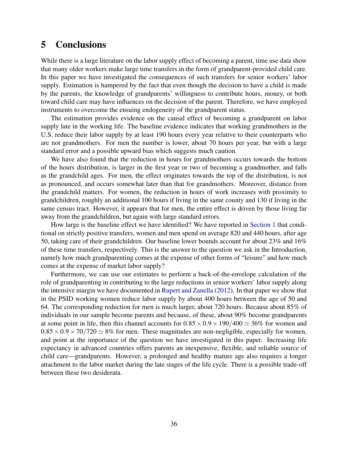## <span id="page-35-0"></span>5 Conclusions

While there is a large literature on the labor supply effect of becoming a parent, time use data show that many older workers make large time transfers in the form of grandparent-provided child care. In this paper we have investigated the consequences of such transfers for senior workers' labor supply. Estimation is hampered by the fact that even though the decision to have a child is made by the parents, the knowledge of grandparents' willingness to contribute hours, money, or both toward child care may have influences on the decision of the parent. Therefore, we have employed instruments to overcome the ensuing endogeneity of the grandparent status.

The estimation provides evidence on the causal effect of becoming a grandparent on labor supply late in the working life. The baseline evidence indicates that working grandmothers in the U.S. reduce their labor supply by at least 190 hours every year relative to their counterparts who are not grandmothers. For men the number is lower, about 70 hours per year, but with a large standard error and a possible upward bias which suggests much caution.

We have also found that the reduction in hours for grandmothers occurs towards the bottom of the hours distribution, is larger in the first year or two of becoming a grandmother, and falls as the grandchild ages. For men, the effect originates towards the top of the distribution, is not as pronounced, and occurs somewhat later than that for grandmothers. Moreover, distance from the grandchild matters. For women, the reduction in hours of work increases with proximity to grandchildren, roughly an additional 100 hours if living in the same county and 130 if living in the same census tract. However, it appears that for men, the entire effect is driven by those living far away from the grandchildren, but again with large standard errors.

How large is the baseline effect we have identified? We have reported in [Section 1](#page-1-1) that conditional on strictly positive transfers, women and men spend on average 820 and 440 hours, after age 50, taking care of their grandchildren. Our baseline lower bounds account for about 23% and 16% of these time transfers, respectively. This is the answer to the question we ask in the Introduction, namely how much grandparenting comes at the expense of other forms of "leisure" and how much comes at the expense of market labor supply?

Furthermore, we can use our estimates to perform a back-of-the-envelope calculation of the role of grandparenting in contributing to the large reductions in senior workers' labor supply along the intensive margin we have documented in [Rupert and Zanella](#page-37-15) [\(2012\)](#page-37-15). In that paper we show that in the PSID working women reduce labor supply by about 400 hours between the age of 50 and 64. The corresponding reduction for men is much larger, about 720 hours. Because about 85% of individuals in our sample become parents and because, of these, about 90% become grandparents at some point in life, then this channel accounts for  $0.85 \times 0.9 \times 190/400 \approx 36\%$  for women and  $0.85 \times 0.9 \times 70/720 \simeq 8\%$  for men. These magnitudes are non-negligible, especially for women, and point at the importance of the question we have investigated in this paper. Increasing life expectancy in advanced countries offers parents an inexpensive, flexible, and reliable source of child care—grandparents. However, a prolonged and healthy mature age also requires a longer attachment to the labor market during the late stages of the life cycle. There is a possible trade-off between these two desiderata.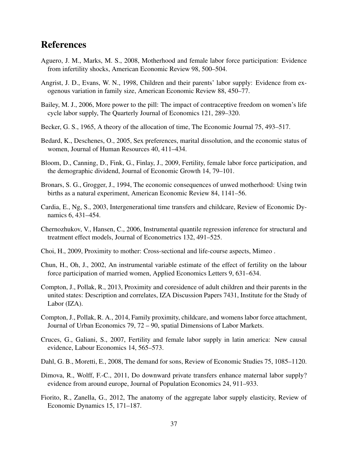## References

- <span id="page-36-9"></span>Aguero, J. M., Marks, M. S., 2008, Motherhood and female labor force participation: Evidence from infertility shocks, American Economic Review 98, 500–504.
- <span id="page-36-1"></span>Angrist, J. D., Evans, W. N., 1998, Children and their parents' labor supply: Evidence from exogenous variation in family size, American Economic Review 88, 450–77.
- <span id="page-36-4"></span>Bailey, M. J., 2006, More power to the pill: The impact of contraceptive freedom on women's life cycle labor supply, The Quarterly Journal of Economics 121, 289–320.
- <span id="page-36-10"></span>Becker, G. S., 1965, A theory of the allocation of time, The Economic Journal 75, 493–517.
- <span id="page-36-13"></span>Bedard, K., Deschenes, O., 2005, Sex preferences, marital dissolution, and the economic status of women, Journal of Human Resources 40, 411–434.
- <span id="page-36-5"></span>Bloom, D., Canning, D., Fink, G., Finlay, J., 2009, Fertility, female labor force participation, and the demographic dividend, Journal of Economic Growth 14, 79–101.
- <span id="page-36-0"></span>Bronars, S. G., Grogger, J., 1994, The economic consequences of unwed motherhood: Using twin births as a natural experiment, American Economic Review 84, 1141–56.
- <span id="page-36-6"></span>Cardia, E., Ng, S., 2003, Intergenerational time transfers and childcare, Review of Economic Dynamics 6, 431–454.
- <span id="page-36-16"></span>Chernozhukov, V., Hansen, C., 2006, Instrumental quantile regression inference for structural and treatment effect models, Journal of Econometrics 132, 491–525.
- <span id="page-36-14"></span>Choi, H., 2009, Proximity to mother: Cross-sectional and life-course aspects, Mimeo .
- <span id="page-36-3"></span>Chun, H., Oh, J., 2002, An instrumental variable estimate of the effect of fertility on the labour force participation of married women, Applied Economics Letters 9, 631–634.
- <span id="page-36-15"></span>Compton, J., Pollak, R., 2013, Proximity and coresidence of adult children and their parents in the united states: Description and correlates, IZA Discussion Papers 7431, Institute for the Study of Labor (IZA).
- <span id="page-36-8"></span>Compton, J., Pollak, R. A., 2014, Family proximity, childcare, and womens labor force attachment, Journal of Urban Economics 79, 72 – 90, spatial Dimensions of Labor Markets.
- <span id="page-36-2"></span>Cruces, G., Galiani, S., 2007, Fertility and female labor supply in latin america: New causal evidence, Labour Economics 14, 565–573.
- <span id="page-36-12"></span>Dahl, G. B., Moretti, E., 2008, The demand for sons, Review of Economic Studies 75, 1085–1120.
- <span id="page-36-7"></span>Dimova, R., Wolff, F.-C., 2011, Do downward private transfers enhance maternal labor supply? evidence from around europe, Journal of Population Economics 24, 911–933.
- <span id="page-36-11"></span>Fiorito, R., Zanella, G., 2012, The anatomy of the aggregate labor supply elasticity, Review of Economic Dynamics 15, 171–187.